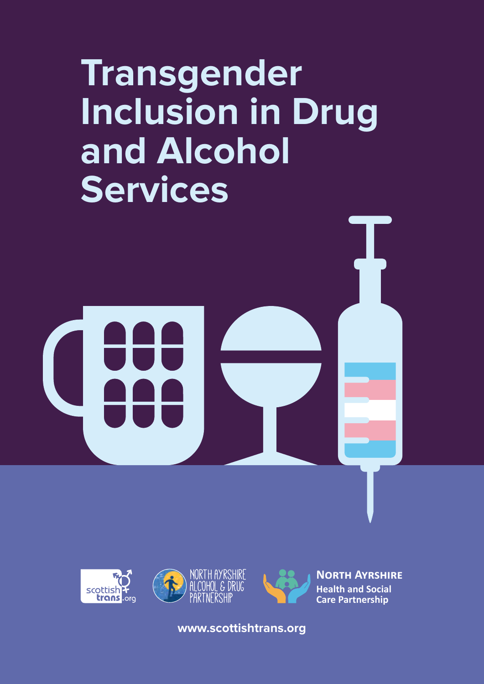# **Transgender Inclusion in Drug and Alcohol Services**







**North Ayrshire Health and Social Care Partnership**

**www.scottishtrans.org**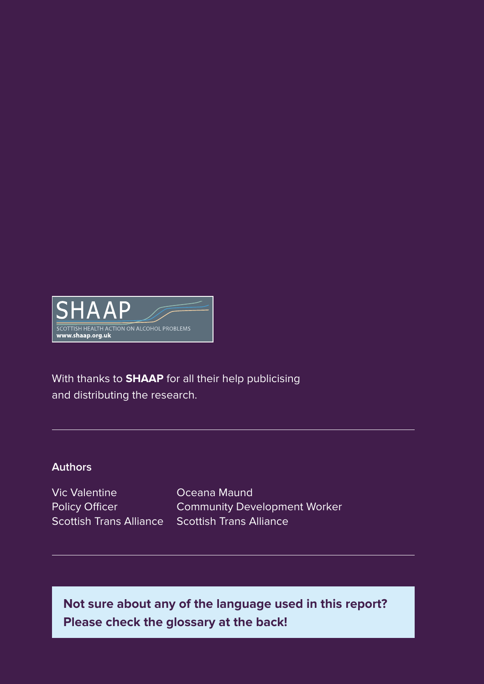

With thanks to **SHAAP** for all their help publicising and distributing the research.

#### **Authors**

Vic Valentine Policy Officer

Scottish Trans Alliance Scottish Trans Alliance Oceana Maund Community Development Worker

**Not sure about any of the language used in this report? Please check the glossary at the back!**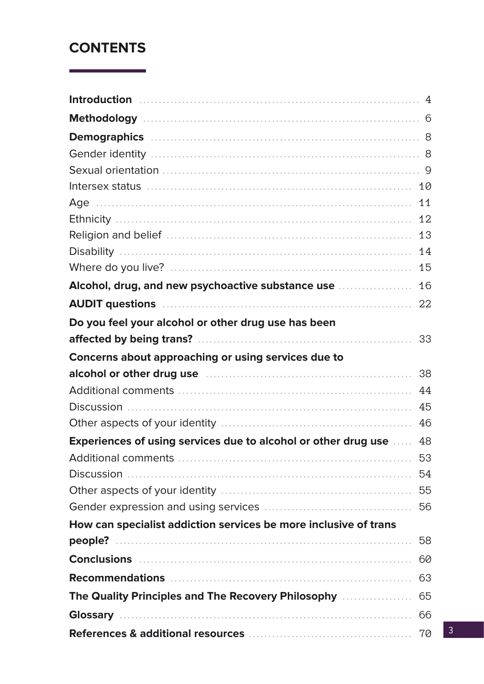# **CONTENTS**

|                                                                        | 4  |
|------------------------------------------------------------------------|----|
|                                                                        |    |
|                                                                        |    |
|                                                                        |    |
|                                                                        |    |
|                                                                        | 10 |
|                                                                        | 11 |
|                                                                        | 12 |
|                                                                        | 13 |
|                                                                        | 14 |
|                                                                        | 15 |
| Alcohol, drug, and new psychoactive substance use <b>construents</b>   | 16 |
|                                                                        | 22 |
| Do you feel your alcohol or other drug use has been                    |    |
| affected by being trans?                                               | 33 |
| Concerns about approaching or using services due to                    |    |
| alcohol or other drug use manufactured and alcohol or other drug use   | 38 |
|                                                                        | 44 |
| <b>Discussion</b>                                                      | 45 |
|                                                                        | 46 |
| <b>Experiences of using services due to alcohol or other drug use </b> | 48 |
|                                                                        | 53 |
| <b>Discussion</b>                                                      | 54 |
|                                                                        | 55 |
|                                                                        | 56 |
| How can specialist addiction services be more inclusive of trans       |    |
|                                                                        | 58 |
|                                                                        | 60 |
|                                                                        | 63 |
| The Quality Principles and The Recovery Philosophy <b>Commensher</b>   | 65 |
|                                                                        | 66 |
|                                                                        |    |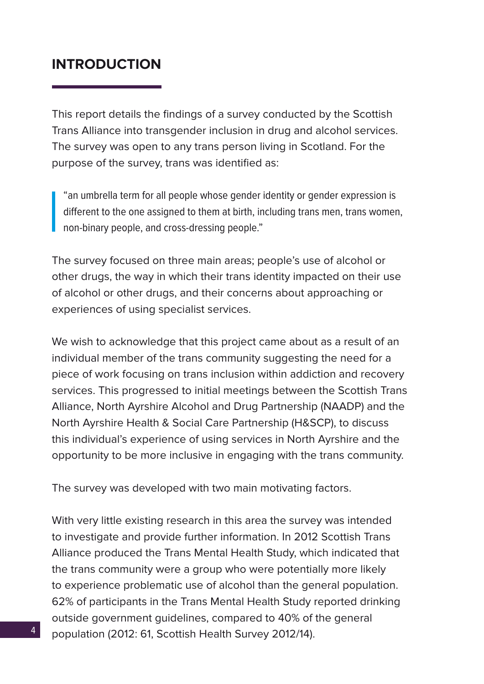# <span id="page-3-0"></span>**INTRODUCTION**

This report details the findings of a survey conducted by the Scottish Trans Alliance into transgender inclusion in drug and alcohol services. The survey was open to any trans person living in Scotland. For the purpose of the survey, trans was identified as:

"an umbrella term for all people whose gender identity or gender expression is different to the one assigned to them at birth, including trans men, trans women, non-binary people, and cross-dressing people."

The survey focused on three main areas; people's use of alcohol or other drugs, the way in which their trans identity impacted on their use of alcohol or other drugs, and their concerns about approaching or experiences of using specialist services.

We wish to acknowledge that this project came about as a result of an individual member of the trans community suggesting the need for a piece of work focusing on trans inclusion within addiction and recovery services. This progressed to initial meetings between the Scottish Trans Alliance, North Ayrshire Alcohol and Drug Partnership (NAADP) and the North Ayrshire Health & Social Care Partnership (H&SCP), to discuss this individual's experience of using services in North Ayrshire and the opportunity to be more inclusive in engaging with the trans community.

The survey was developed with two main motivating factors.

With very little existing research in this area the survey was intended to investigate and provide further information. In 2012 Scottish Trans Alliance produced the Trans Mental Health Study, which indicated that the trans community were a group who were potentially more likely to experience problematic use of alcohol than the general population. 62% of participants in the Trans Mental Health Study reported drinking outside government guidelines, compared to 40% of the general population (2012: 61, Scottish Health Survey 2012/14).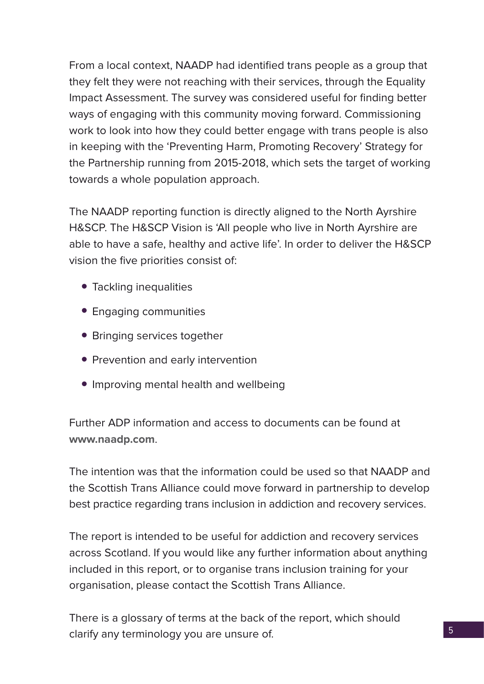From a local context, NAADP had identified trans people as a group that they felt they were not reaching with their services, through the Equality Impact Assessment. The survey was considered useful for finding better ways of engaging with this community moving forward. Commissioning work to look into how they could better engage with trans people is also in keeping with the 'Preventing Harm, Promoting Recovery' Strategy for the Partnership running from 2015-2018, which sets the target of working towards a whole population approach.

The NAADP reporting function is directly aligned to the North Ayrshire H&SCP. The H&SCP Vision is 'All people who live in North Ayrshire are able to have a safe, healthy and active life'. In order to deliver the H&SCP vision the five priorities consist of:

- Tackling inequalities
- Engaging communities
- Bringing services together
- Prevention and early intervention
- Improving mental health and wellbeing

Further ADP information and access to documents can be found at **www.naadp.com**.

The intention was that the information could be used so that NAADP and the Scottish Trans Alliance could move forward in partnership to develop best practice regarding trans inclusion in addiction and recovery services.

The report is intended to be useful for addiction and recovery services across Scotland. If you would like any further information about anything included in this report, or to organise trans inclusion training for your organisation, please contact the Scottish Trans Alliance.

There is a glossary of terms at the back of the report, which should clarify any terminology you are unsure of.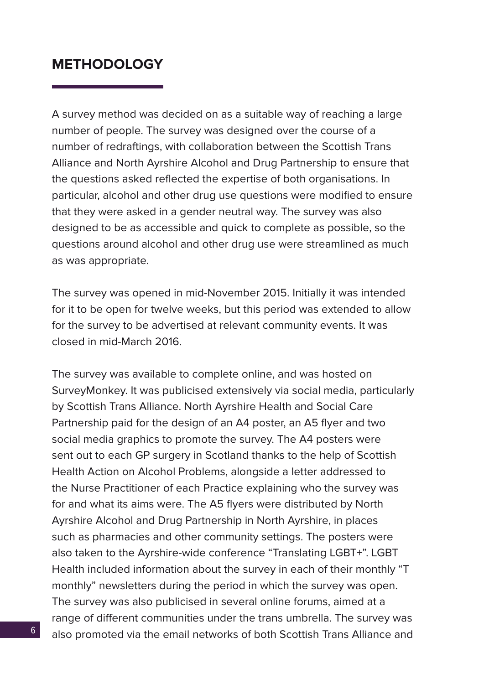## <span id="page-5-0"></span>**METHODOLOGY**

A survey method was decided on as a suitable way of reaching a large number of people. The survey was designed over the course of a number of redraftings, with collaboration between the Scottish Trans Alliance and North Ayrshire Alcohol and Drug Partnership to ensure that the questions asked reflected the expertise of both organisations. In particular, alcohol and other drug use questions were modified to ensure that they were asked in a gender neutral way. The survey was also designed to be as accessible and quick to complete as possible, so the questions around alcohol and other drug use were streamlined as much as was appropriate.

The survey was opened in mid-November 2015. Initially it was intended for it to be open for twelve weeks, but this period was extended to allow for the survey to be advertised at relevant community events. It was closed in mid-March 2016.

The survey was available to complete online, and was hosted on SurveyMonkey. It was publicised extensively via social media, particularly by Scottish Trans Alliance. North Ayrshire Health and Social Care Partnership paid for the design of an A4 poster, an A5 flyer and two social media graphics to promote the survey. The A4 posters were sent out to each GP surgery in Scotland thanks to the help of Scottish Health Action on Alcohol Problems, alongside a letter addressed to the Nurse Practitioner of each Practice explaining who the survey was for and what its aims were. The A5 flyers were distributed by North Ayrshire Alcohol and Drug Partnership in North Ayrshire, in places such as pharmacies and other community settings. The posters were also taken to the Ayrshire-wide conference "Translating LGBT+". LGBT Health included information about the survey in each of their monthly "T monthly" newsletters during the period in which the survey was open. The survey was also publicised in several online forums, aimed at a range of different communities under the trans umbrella. The survey was also promoted via the email networks of both Scottish Trans Alliance and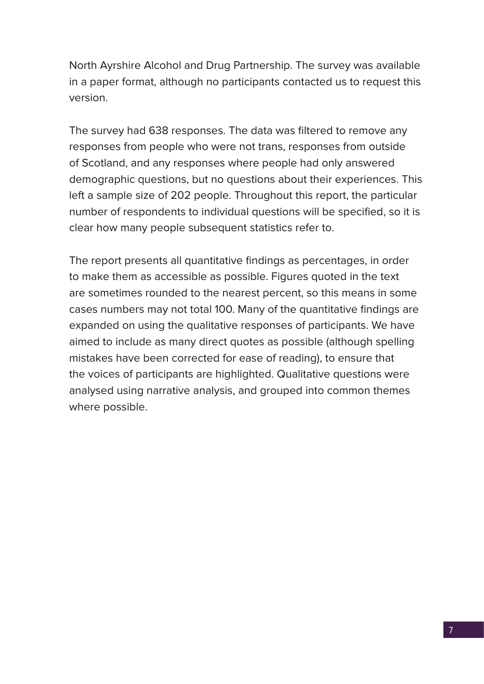North Ayrshire Alcohol and Drug Partnership. The survey was available in a paper format, although no participants contacted us to request this version.

The survey had 638 responses. The data was filtered to remove any responses from people who were not trans, responses from outside of Scotland, and any responses where people had only answered demographic questions, but no questions about their experiences. This left a sample size of 202 people. Throughout this report, the particular number of respondents to individual questions will be specified, so it is clear how many people subsequent statistics refer to.

The report presents all quantitative findings as percentages, in order to make them as accessible as possible. Figures quoted in the text are sometimes rounded to the nearest percent, so this means in some cases numbers may not total 100. Many of the quantitative findings are expanded on using the qualitative responses of participants. We have aimed to include as many direct quotes as possible (although spelling mistakes have been corrected for ease of reading), to ensure that the voices of participants are highlighted. Qualitative questions were analysed using narrative analysis, and grouped into common themes where possible.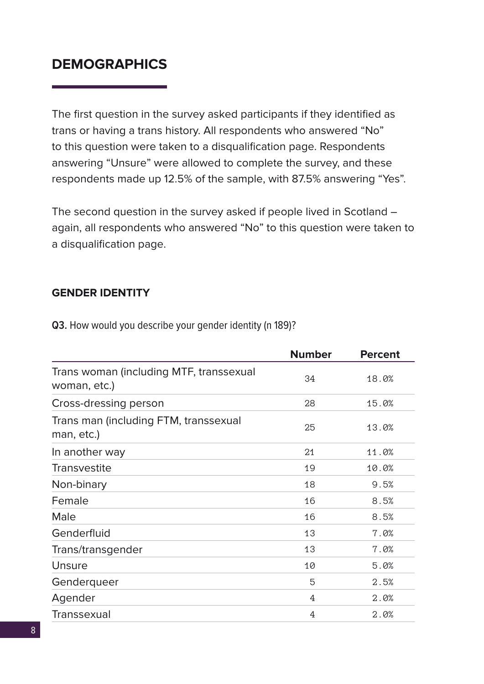# <span id="page-7-0"></span>**DEMOGRAPHICS**

The first question in the survey asked participants if they identified as trans or having a trans history. All respondents who answered "No" to this question were taken to a disqualification page. Respondents answering "Unsure" were allowed to complete the survey, and these respondents made up 12.5% of the sample, with 87.5% answering "Yes".

The second question in the survey asked if people lived in Scotland – again, all respondents who answered "No" to this question were taken to a disqualification page.

#### **GENDER IDENTITY**

|                                                         | <b>Number</b> | <b>Percent</b> |
|---------------------------------------------------------|---------------|----------------|
| Trans woman (including MTF, transsexual<br>woman, etc.) | 34            | 18.0%          |
| Cross-dressing person                                   | 28            | 15.0%          |
| Trans man (including FTM, transsexual<br>man, etc.)     | 25            | 13.0%          |
| In another way                                          | 21            | 11.0%          |
| Transvestite                                            | 19            | 10.0%          |
| Non-binary                                              | 18            | 9.5%           |
| Female                                                  | 16            | 8.5%           |
| Male                                                    | 16            | 8.5%           |
| Genderfluid                                             | 13            | 7.0%           |
| Trans/transgender                                       | 13            | 7.0%           |
| Unsure                                                  | 10            | 5.0%           |
| Genderqueer                                             | 5             | 2.5%           |
| Agender                                                 | 4             | 2.0%           |
| Transsexual                                             | 4             | 2.0%           |

**Q3.** How would you describe your gender identity (n 189)?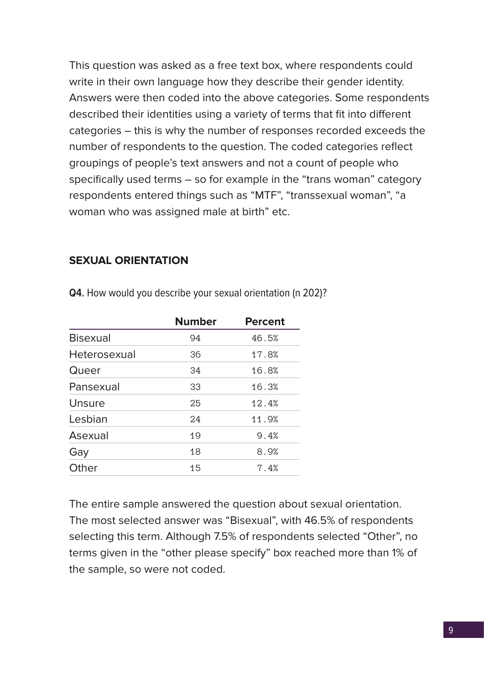<span id="page-8-0"></span>This question was asked as a free text box, where respondents could write in their own language how they describe their gender identity. Answers were then coded into the above categories. Some respondents described their identities using a variety of terms that fit into different categories – this is why the number of responses recorded exceeds the number of respondents to the question. The coded categories reflect groupings of people's text answers and not a count of people who specifically used terms – so for example in the "trans woman" category respondents entered things such as "MTF", "transsexual woman", "a woman who was assigned male at birth" etc.

#### **SEXUAL ORIENTATION**

|                 | <b>Number</b> | <b>Percent</b> |
|-----------------|---------------|----------------|
| <b>Bisexual</b> | 94            | 46.5%          |
| Heterosexual    | 36            | 17.8%          |
| Queer           | 34            | 16.8%          |
| Pansexual       | 33            | 16.3%          |
| Unsure          | 25            | 12.4%          |
| Lesbian         | 24            | 11.9%          |
| Asexual         | 19            | 9.4%           |
| Gay             | 18            | 8.9%           |
| Other           | 15            | 7.4%           |
|                 |               |                |

**Q4.** How would you describe your sexual orientation (n 202)?

The entire sample answered the question about sexual orientation. The most selected answer was "Bisexual", with 46.5% of respondents selecting this term. Although 7.5% of respondents selected "Other", no terms given in the "other please specify" box reached more than 1% of the sample, so were not coded.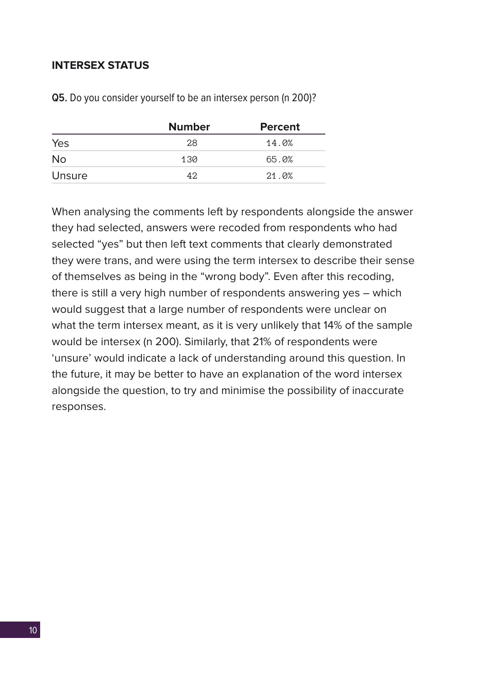#### <span id="page-9-0"></span>**INTERSEX STATUS**

|           | <b>Number</b> | <b>Percent</b> |
|-----------|---------------|----------------|
| Yes       | 28            | 14.0%          |
| <b>No</b> | 130           | 65.0%          |
| Unsure    | 42            | 21.0%          |

**Q5.** Do you consider yourself to be an intersex person (n 200)?

When analysing the comments left by respondents alongside the answer they had selected, answers were recoded from respondents who had selected "yes" but then left text comments that clearly demonstrated they were trans, and were using the term intersex to describe their sense of themselves as being in the "wrong body". Even after this recoding, there is still a very high number of respondents answering yes – which would suggest that a large number of respondents were unclear on what the term intersex meant, as it is very unlikely that 14% of the sample would be intersex (n 200). Similarly, that 21% of respondents were 'unsure' would indicate a lack of understanding around this question. In the future, it may be better to have an explanation of the word intersex alongside the question, to try and minimise the possibility of inaccurate responses.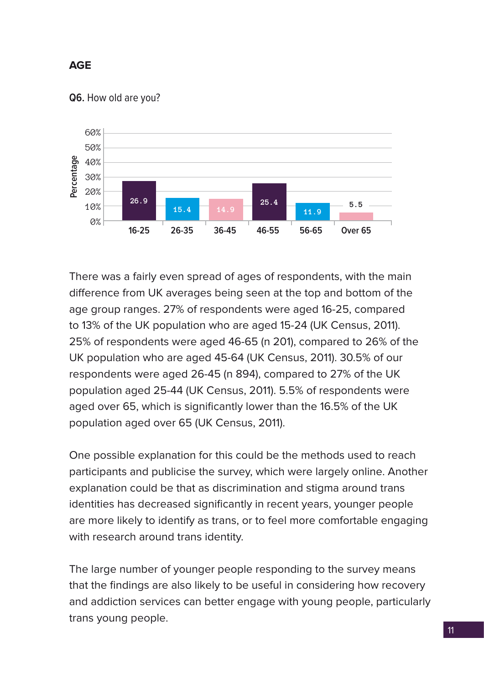## <span id="page-10-0"></span>**AGE**

#### **Q6.** How old are you?



There was a fairly even spread of ages of respondents, with the main difference from UK averages being seen at the top and bottom of the age group ranges. 27% of respondents were aged 16-25, compared to 13% of the UK population who are aged 15-24 (UK Census, 2011). 25% of respondents were aged 46-65 (n 201), compared to 26% of the UK population who are aged 45-64 (UK Census, 2011). 30.5% of our respondents were aged 26-45 (n 894), compared to 27% of the UK population aged 25-44 (UK Census, 2011). 5.5% of respondents were aged over 65, which is significantly lower than the 16.5% of the UK population aged over 65 (UK Census, 2011).

One possible explanation for this could be the methods used to reach participants and publicise the survey, which were largely online. Another explanation could be that as discrimination and stigma around trans identities has decreased significantly in recent years, younger people are more likely to identify as trans, or to feel more comfortable engaging with research around trans identity.

The large number of younger people responding to the survey means that the findings are also likely to be useful in considering how recovery and addiction services can better engage with young people, particularly trans young people.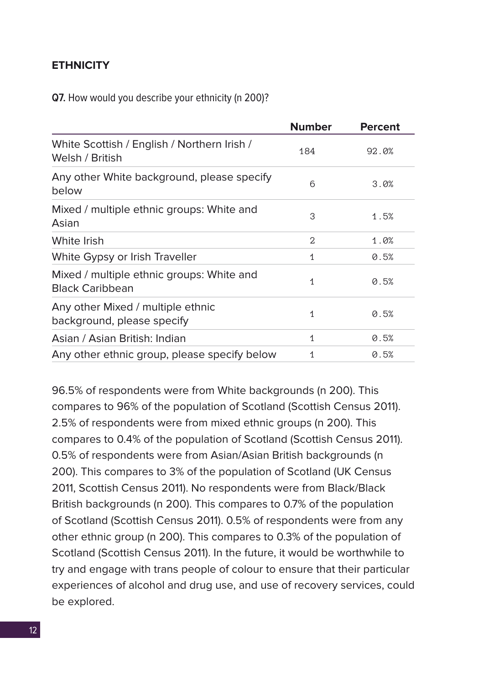#### <span id="page-11-0"></span>**ETHNICITY**

**Q7.** How would you describe your ethnicity (n 200)?

|                                                                     | <b>Number</b> | <b>Percent</b> |
|---------------------------------------------------------------------|---------------|----------------|
| White Scottish / English / Northern Irish /<br>Welsh / British      | 184           | 92.0%          |
| Any other White background, please specify<br>below                 | 6             | 3.0%           |
| Mixed / multiple ethnic groups: White and<br>Asian                  | 3             | 1.5%           |
| White Irish                                                         | 2             | 1.0%           |
| White Gypsy or Irish Traveller                                      | 1             | 0.5%           |
| Mixed / multiple ethnic groups: White and<br><b>Black Caribbean</b> | 1             | 0.5%           |
| Any other Mixed / multiple ethnic<br>background, please specify     | 1             | 0.5%           |
| Asian / Asian British: Indian                                       | 1             | 0.5%           |
| Any other ethnic group, please specify below                        | 1             | 0.5%           |

96.5% of respondents were from White backgrounds (n 200). This compares to 96% of the population of Scotland (Scottish Census 2011). 2.5% of respondents were from mixed ethnic groups (n 200). This compares to 0.4% of the population of Scotland (Scottish Census 2011). 0.5% of respondents were from Asian/Asian British backgrounds (n 200). This compares to 3% of the population of Scotland (UK Census 2011, Scottish Census 2011). No respondents were from Black/Black British backgrounds (n 200). This compares to 0.7% of the population of Scotland (Scottish Census 2011). 0.5% of respondents were from any other ethnic group (n 200). This compares to 0.3% of the population of Scotland (Scottish Census 2011). In the future, it would be worthwhile to try and engage with trans people of colour to ensure that their particular experiences of alcohol and drug use, and use of recovery services, could be explored.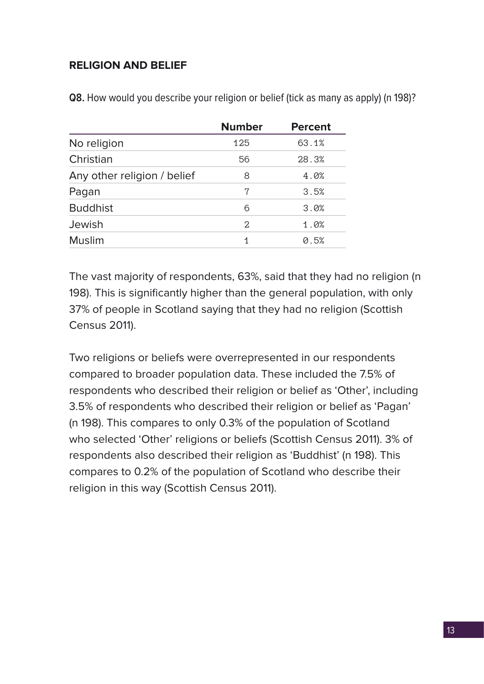## <span id="page-12-0"></span>**RELIGION AND BELIEF**

|                             | <b>Number</b>     | <b>Percent</b> |
|-----------------------------|-------------------|----------------|
| No religion                 | 125               | 63.1%          |
| Christian                   | 56                | 28.3%          |
| Any other religion / belief | 8                 | 4.0%           |
| Pagan                       | 7                 | 3.5%           |
| <b>Buddhist</b>             | 6                 | 3.0%           |
| Jewish                      | $\mathcal{D}_{1}$ | 1.0%           |
| <b>Muslim</b>               | 1                 | 0.5%           |

**Q8.** How would you describe your religion or belief (tick as many as apply) (n 198)?

The vast majority of respondents, 63%, said that they had no religion (n 198). This is significantly higher than the general population, with only 37% of people in Scotland saying that they had no religion (Scottish Census 2011).

Two religions or beliefs were overrepresented in our respondents compared to broader population data. These included the 7.5% of respondents who described their religion or belief as 'Other', including 3.5% of respondents who described their religion or belief as 'Pagan' (n 198). This compares to only 0.3% of the population of Scotland who selected 'Other' religions or beliefs (Scottish Census 2011). 3% of respondents also described their religion as 'Buddhist' (n 198). This compares to 0.2% of the population of Scotland who describe their religion in this way (Scottish Census 2011).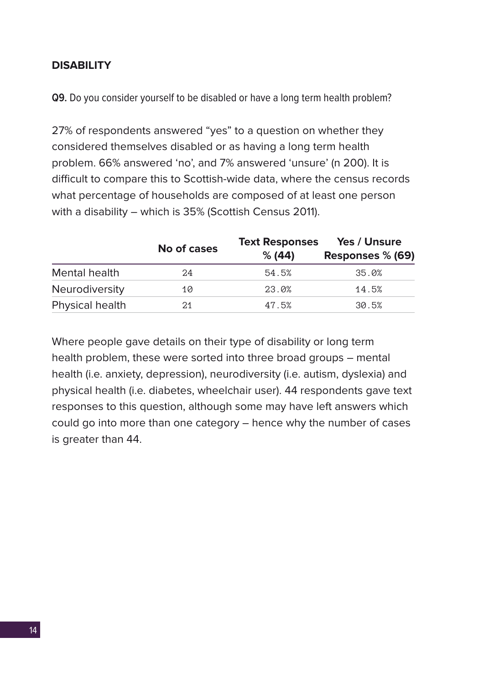#### <span id="page-13-0"></span>**DISABILITY**

**Q9.** Do you consider yourself to be disabled or have a long term health problem?

27% of respondents answered "yes" to a question on whether they considered themselves disabled or as having a long term health problem. 66% answered 'no', and 7% answered 'unsure' (n 200). It is difficult to compare this to Scottish-wide data, where the census records what percentage of households are composed of at least one person with a disability – which is 35% (Scottish Census 2011).

|                       | No of cases | <b>Text Responses</b> | Yes / Unsure     |
|-----------------------|-------------|-----------------------|------------------|
|                       |             |                       | Responses % (69) |
| Mental health         | 24          | 54.5%                 | 35.0%            |
| <b>Neurodiversity</b> | 10          | 23.0%                 | 14.5%            |
| Physical health       | 21          | 47.5%                 | 30.5%            |

Where people gave details on their type of disability or long term health problem, these were sorted into three broad groups – mental health (i.e. anxiety, depression), neurodiversity (i.e. autism, dyslexia) and physical health (i.e. diabetes, wheelchair user). 44 respondents gave text responses to this question, although some may have left answers which could go into more than one category – hence why the number of cases is greater than 44.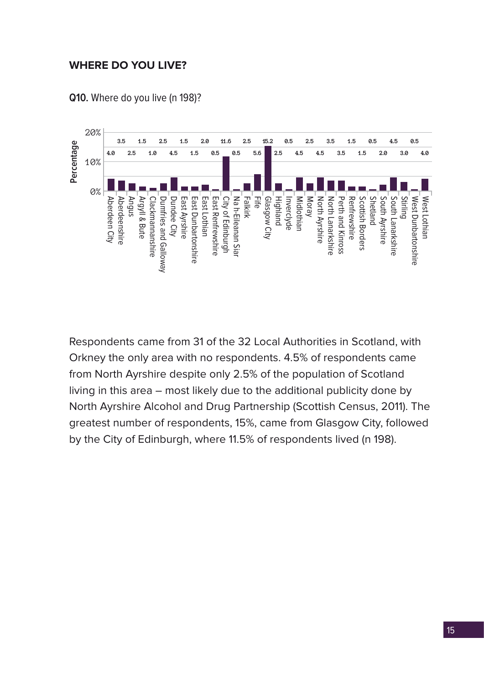#### <span id="page-14-0"></span>**WHERE DO YOU LIVE?**



**Q10.** Where do you live (n 198)?

Respondents came from 31 of the 32 Local Authorities in Scotland, with Orkney the only area with no respondents. 4.5% of respondents came from North Ayrshire despite only 2.5% of the population of Scotland living in this area – most likely due to the additional publicity done by North Ayrshire Alcohol and Drug Partnership (Scottish Census, 2011). The greatest number of respondents, 15%, came from Glasgow City, followed by the City of Edinburgh, where 11.5% of respondents lived (n 198).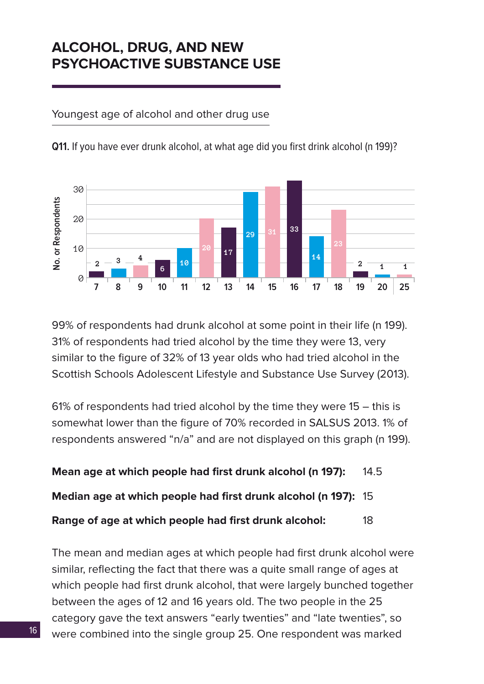# <span id="page-15-0"></span>**ALCOHOL, DRUG, AND NEW PSYCHOACTIVE SUBSTANCE USE**

Youngest age of alcohol and other drug use



**Q11.** If you have ever drunk alcohol, at what age did you first drink alcohol (n 199)?

99% of respondents had drunk alcohol at some point in their life (n 199). 31% of respondents had tried alcohol by the time they were 13, very similar to the figure of 32% of 13 year olds who had tried alcohol in the Scottish Schools Adolescent Lifestyle and Substance Use Survey (2013).

61% of respondents had tried alcohol by the time they were 15 – this is somewhat lower than the figure of 70% recorded in SALSUS 2013. 1% of respondents answered "n/a" and are not displayed on this graph (n 199).

**Mean age at which people had first drunk alcohol (n 197):** 14.5

**Median age at which people had first drunk alcohol (n 197):** 15

**Range of age at which people had first drunk alcohol:** 18

The mean and median ages at which people had first drunk alcohol were similar, reflecting the fact that there was a quite small range of ages at which people had first drunk alcohol, that were largely bunched together between the ages of 12 and 16 years old. The two people in the 25 category gave the text answers "early twenties" and "late twenties", so were combined into the single group 25. One respondent was marked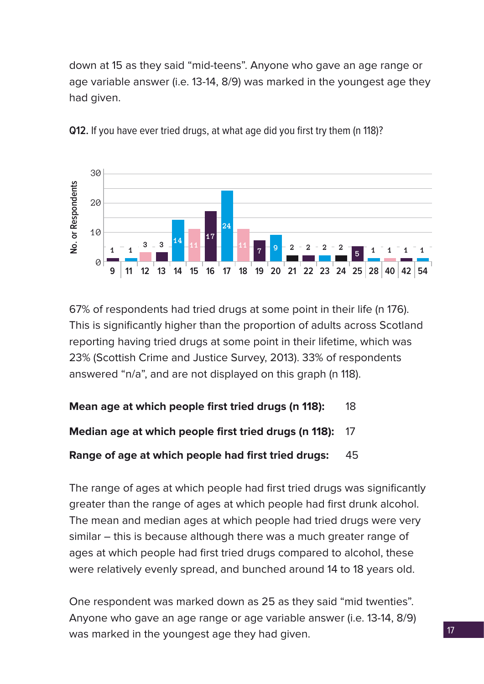down at 15 as they said "mid-teens". Anyone who gave an age range or age variable answer (i.e. 13-14, 8/9) was marked in the youngest age they had given.



**Q12.** If you have ever tried drugs, at what age did you first try them (n 118)?

67% of respondents had tried drugs at some point in their life (n 176). This is significantly higher than the proportion of adults across Scotland reporting having tried drugs at some point in their lifetime, which was 23% (Scottish Crime and Justice Survey, 2013). 33% of respondents answered "n/a", and are not displayed on this graph (n 118).

#### **Mean age at which people first tried drugs (n 118):** 18

#### **Median age at which people first tried drugs (n 118):** 17

#### **Range of age at which people had first tried drugs:** 45

The range of ages at which people had first tried drugs was significantly greater than the range of ages at which people had first drunk alcohol. The mean and median ages at which people had tried drugs were very similar – this is because although there was a much greater range of ages at which people had first tried drugs compared to alcohol, these were relatively evenly spread, and bunched around 14 to 18 years old.

One respondent was marked down as 25 as they said "mid twenties". Anyone who gave an age range or age variable answer (i.e. 13-14, 8/9) was marked in the youngest age they had given.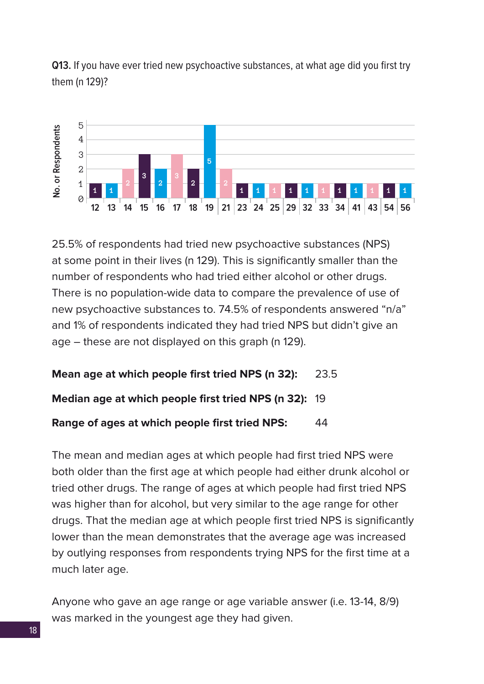**Q13.** If you have ever tried new psychoactive substances, at what age did you first try them (n 129)?



25.5% of respondents had tried new psychoactive substances (NPS) at some point in their lives (n 129). This is significantly smaller than the number of respondents who had tried either alcohol or other drugs. There is no population-wide data to compare the prevalence of use of new psychoactive substances to. 74.5% of respondents answered "n/a" and 1% of respondents indicated they had tried NPS but didn't give an age – these are not displayed on this graph (n 129).

#### **Mean age at which people first tried NPS (n 32):** 23.5

**Median age at which people first tried NPS (n 32):** 19

**Range of ages at which people first tried NPS:** 44

The mean and median ages at which people had first tried NPS were both older than the first age at which people had either drunk alcohol or tried other drugs. The range of ages at which people had first tried NPS was higher than for alcohol, but very similar to the age range for other drugs. That the median age at which people first tried NPS is significantly lower than the mean demonstrates that the average age was increased by outlying responses from respondents trying NPS for the first time at a much later age.

Anyone who gave an age range or age variable answer (i.e. 13-14, 8/9) was marked in the youngest age they had given.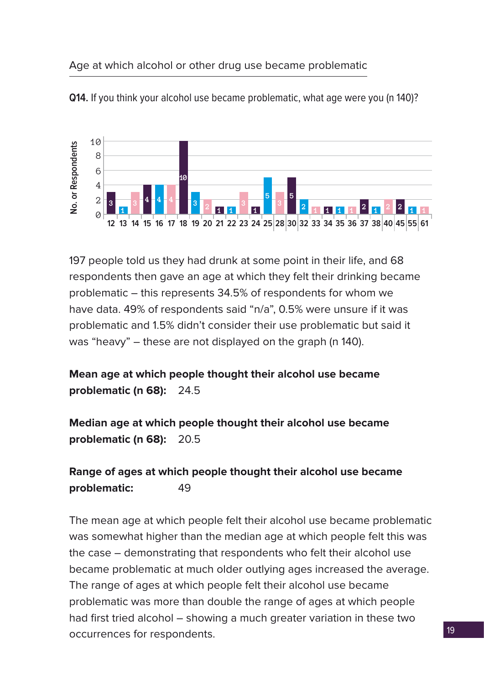#### Age at which alcohol or other drug use became problematic



**Q14.** If you think your alcohol use became problematic, what age were you (n 140)?

197 people told us they had drunk at some point in their life, and 68 respondents then gave an age at which they felt their drinking became problematic – this represents 34.5% of respondents for whom we have data. 49% of respondents said "n/a", 0.5% were unsure if it was problematic and 1.5% didn't consider their use problematic but said it was "heavy" – these are not displayed on the graph (n 140).

## **Mean age at which people thought their alcohol use became problematic (n 68):** 24.5

**Median age at which people thought their alcohol use became problematic (n 68):** 20.5

## **Range of ages at which people thought their alcohol use became problematic:** 49

The mean age at which people felt their alcohol use became problematic was somewhat higher than the median age at which people felt this was the case – demonstrating that respondents who felt their alcohol use became problematic at much older outlying ages increased the average. The range of ages at which people felt their alcohol use became problematic was more than double the range of ages at which people had first tried alcohol – showing a much greater variation in these two occurrences for respondents.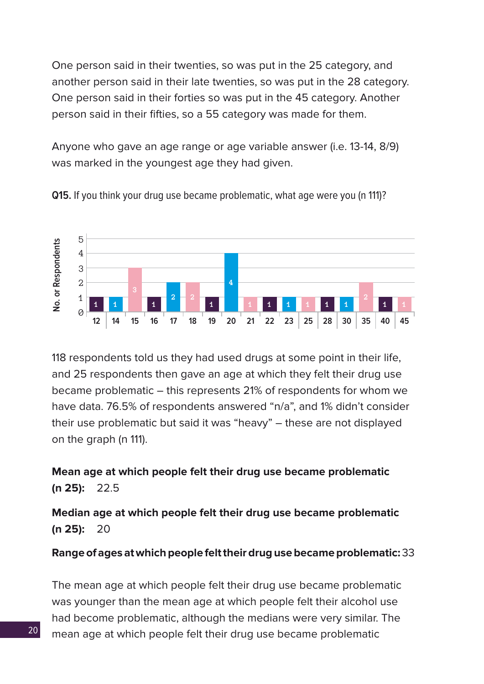One person said in their twenties, so was put in the 25 category, and another person said in their late twenties, so was put in the 28 category. One person said in their forties so was put in the 45 category. Another person said in their fifties, so a 55 category was made for them.

Anyone who gave an age range or age variable answer (i.e. 13-14, 8/9) was marked in the youngest age they had given.



**Q15.** If you think your drug use became problematic, what age were you (n 111)?

118 respondents told us they had used drugs at some point in their life, and 25 respondents then gave an age at which they felt their drug use became problematic – this represents 21% of respondents for whom we have data. 76.5% of respondents answered "n/a", and 1% didn't consider their use problematic but said it was "heavy" – these are not displayed on the graph (n 111).

**Mean age at which people felt their drug use became problematic (n 25):** 22.5

**Median age at which people felt their drug use became problematic (n 25):** 20

**Range of ages at which people felt their drug use became problematic:** 33

The mean age at which people felt their drug use became problematic was younger than the mean age at which people felt their alcohol use had become problematic, although the medians were very similar. The mean age at which people felt their drug use became problematic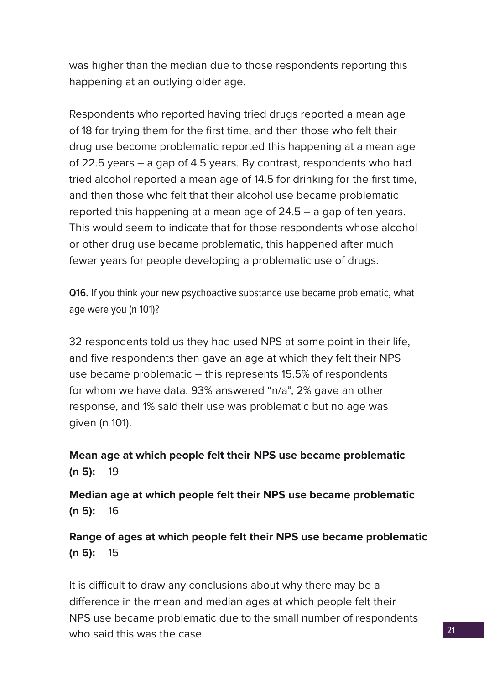was higher than the median due to those respondents reporting this happening at an outlying older age.

Respondents who reported having tried drugs reported a mean age of 18 for trying them for the first time, and then those who felt their drug use become problematic reported this happening at a mean age of 22.5 years – a gap of 4.5 years. By contrast, respondents who had tried alcohol reported a mean age of 14.5 for drinking for the first time, and then those who felt that their alcohol use became problematic reported this happening at a mean age of 24.5 – a gap of ten years. This would seem to indicate that for those respondents whose alcohol or other drug use became problematic, this happened after much fewer years for people developing a problematic use of drugs.

**Q16.** If you think your new psychoactive substance use became problematic, what age were you (n 101)?

32 respondents told us they had used NPS at some point in their life, and five respondents then gave an age at which they felt their NPS use became problematic – this represents 15.5% of respondents for whom we have data. 93% answered "n/a", 2% gave an other response, and 1% said their use was problematic but no age was given (n 101).

**Mean age at which people felt their NPS use became problematic (n 5):** 19

**Median age at which people felt their NPS use became problematic (n 5):** 16

**Range of ages at which people felt their NPS use became problematic (n 5):** 15

It is difficult to draw any conclusions about why there may be a difference in the mean and median ages at which people felt their NPS use became problematic due to the small number of respondents who said this was the case.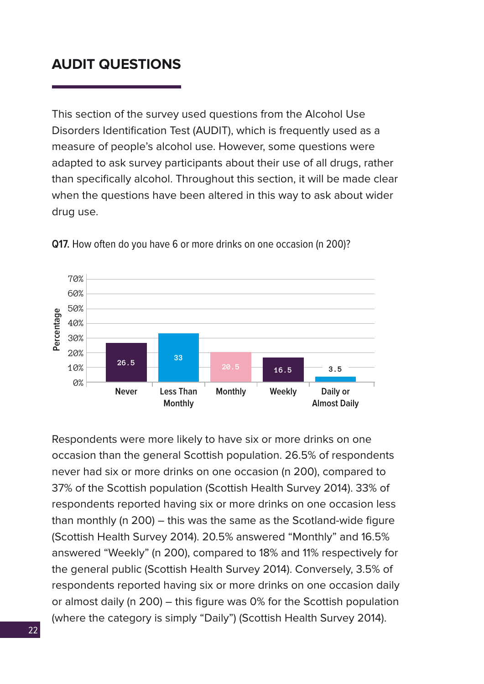# <span id="page-21-0"></span>**AUDIT QUESTIONS**

This section of the survey used questions from the Alcohol Use Disorders Identification Test (AUDIT), which is frequently used as a measure of people's alcohol use. However, some questions were adapted to ask survey participants about their use of all drugs, rather than specifically alcohol. Throughout this section, it will be made clear when the questions have been altered in this way to ask about wider drug use.



**Q17.** How often do you have 6 or more drinks on one occasion (n 200)?

Respondents were more likely to have six or more drinks on one occasion than the general Scottish population. 26.5% of respondents never had six or more drinks on one occasion (n 200), compared to 37% of the Scottish population (Scottish Health Survey 2014). 33% of respondents reported having six or more drinks on one occasion less than monthly (n 200) – this was the same as the Scotland-wide figure (Scottish Health Survey 2014). 20.5% answered "Monthly" and 16.5% answered "Weekly" (n 200), compared to 18% and 11% respectively for the general public (Scottish Health Survey 2014). Conversely, 3.5% of respondents reported having six or more drinks on one occasion daily or almost daily (n 200) – this figure was 0% for the Scottish population (where the category is simply "Daily") (Scottish Health Survey 2014).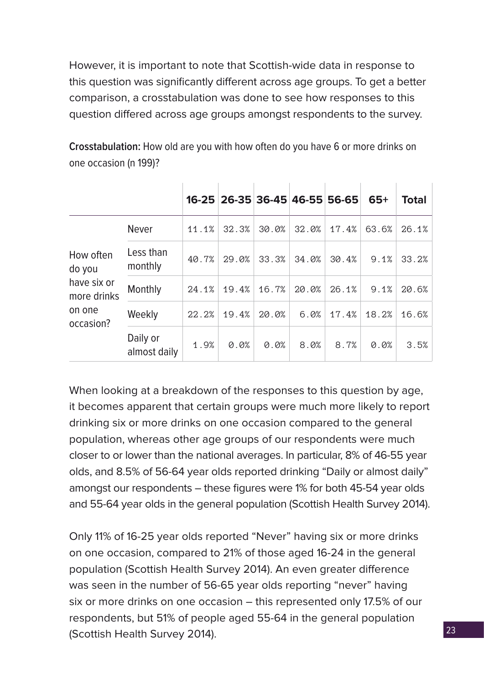However, it is important to note that Scottish-wide data in response to this question was significantly different across age groups. To get a better comparison, a crosstabulation was done to see how responses to this question differed across age groups amongst respondents to the survey.

|                            |                          |       | 16-25 26-35 36-45 46-55 56-65 |       |       |       | $65+$ | <b>Total</b> |
|----------------------------|--------------------------|-------|-------------------------------|-------|-------|-------|-------|--------------|
|                            | <b>Never</b>             | 11.1% | 32.3%                         | 30.0% | 32.0% | 17.4% | 63.6% | 26.1%        |
| How often<br>do you        | Less than<br>monthly     | 40.7% | 29.0%                         | 33.3% | 34.0% | 30.4% | 9.1%  | 33.2%        |
| have six or<br>more drinks | Monthly                  | 24.1% | 19.4%                         | 16.7% | 20.0% | 26.1% | 9.1%  | 20.6%        |
| on one<br>occasion?        | Weekly                   | 22.2% | 19.4%                         | 20.0% | 6.0%  | 17.4% | 18.2% | 16.6%        |
|                            | Daily or<br>almost daily | 1.9%  | 0.0%                          | 0.0%  | 8.0%  | 8.7%  | 0.0%  | 3.5%         |

**Crosstabulation:** How old are you with how often do you have 6 or more drinks on one occasion (n 199)?

When looking at a breakdown of the responses to this question by age, it becomes apparent that certain groups were much more likely to report drinking six or more drinks on one occasion compared to the general population, whereas other age groups of our respondents were much closer to or lower than the national averages. In particular, 8% of 46-55 year olds, and 8.5% of 56-64 year olds reported drinking "Daily or almost daily" amongst our respondents – these figures were 1% for both 45-54 year olds and 55-64 year olds in the general population (Scottish Health Survey 2014).

Only 11% of 16-25 year olds reported "Never" having six or more drinks on one occasion, compared to 21% of those aged 16-24 in the general population (Scottish Health Survey 2014). An even greater difference was seen in the number of 56-65 year olds reporting "never" having six or more drinks on one occasion – this represented only 17.5% of our respondents, but 51% of people aged 55-64 in the general population (Scottish Health Survey 2014).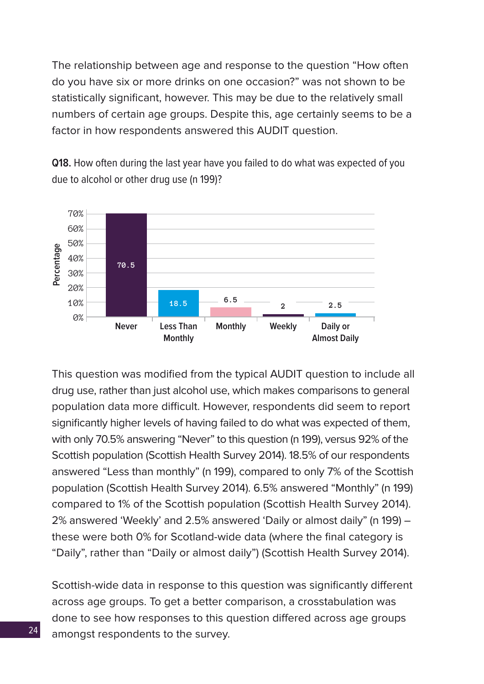The relationship between age and response to the question "How often do you have six or more drinks on one occasion?" was not shown to be statistically significant, however. This may be due to the relatively small numbers of certain age groups. Despite this, age certainly seems to be a factor in how respondents answered this AUDIT question.

**Q18.** How often during the last year have you failed to do what was expected of you due to alcohol or other drug use (n 199)?



This question was modified from the typical AUDIT question to include all drug use, rather than just alcohol use, which makes comparisons to general population data more difficult. However, respondents did seem to report significantly higher levels of having failed to do what was expected of them, with only 70.5% answering "Never" to this question (n 199), versus 92% of the Scottish population (Scottish Health Survey 2014). 18.5% of our respondents answered "Less than monthly" (n 199), compared to only 7% of the Scottish population (Scottish Health Survey 2014). 6.5% answered "Monthly" (n 199) compared to 1% of the Scottish population (Scottish Health Survey 2014). 2% answered 'Weekly' and 2.5% answered 'Daily or almost daily" (n 199) – these were both 0% for Scotland-wide data (where the final category is "Daily", rather than "Daily or almost daily") (Scottish Health Survey 2014).

Scottish-wide data in response to this question was significantly different across age groups. To get a better comparison, a crosstabulation was done to see how responses to this question differed across age groups amongst respondents to the survey.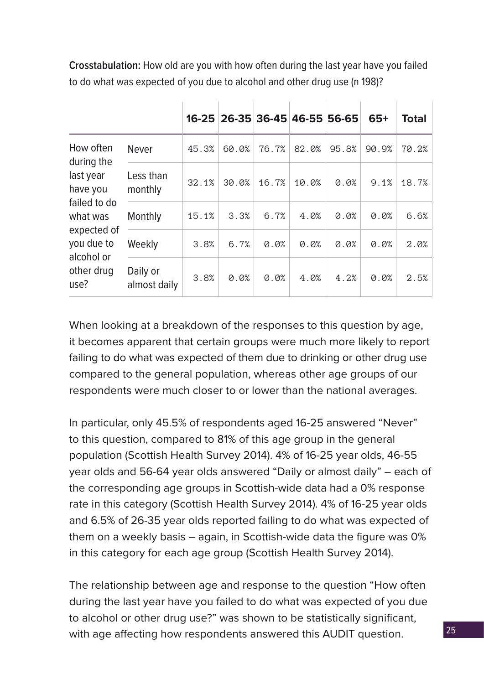**Crosstabulation:** How old are you with how often during the last year have you failed to do what was expected of you due to alcohol and other drug use (n 198)?

|                                                                                                                    |                          |       |       |       | 16-25 26-35 36-45 46-55 56-65 |       | $65+$ | <b>Total</b> |
|--------------------------------------------------------------------------------------------------------------------|--------------------------|-------|-------|-------|-------------------------------|-------|-------|--------------|
| How often<br>during the                                                                                            | <b>Never</b>             | 45.3% | 60.0% | 76.7% | 82.0%                         | 95.8% | 90.9% | 70.2%        |
| last year<br>have you<br>failed to do<br>what was<br>expected of<br>you due to<br>alcohol or<br>other drug<br>use? | Less than<br>monthly     | 32.1% | 30.0% | 16.7% | 10.0%                         | 0.0%  | 9.1%  | 18.7%        |
|                                                                                                                    | Monthly                  | 15.1% | 3.3%  | 6.7%  | 4.0%                          | 0.0%  | 0.0%  | 6.6%         |
|                                                                                                                    | Weekly                   | 3.8%  | 6.7%  | 0.0%  | 0.0%                          | 0.0%  | 0.0%  | 2.0%         |
|                                                                                                                    | Daily or<br>almost daily | 3.8%  | 0.0%  | 0.0%  | 4.0%                          | 4.2%  | 0.0%  | 2.5%         |

When looking at a breakdown of the responses to this question by age, it becomes apparent that certain groups were much more likely to report failing to do what was expected of them due to drinking or other drug use compared to the general population, whereas other age groups of our respondents were much closer to or lower than the national averages.

In particular, only 45.5% of respondents aged 16-25 answered "Never" to this question, compared to 81% of this age group in the general population (Scottish Health Survey 2014). 4% of 16-25 year olds, 46-55 year olds and 56-64 year olds answered "Daily or almost daily" – each of the corresponding age groups in Scottish-wide data had a 0% response rate in this category (Scottish Health Survey 2014). 4% of 16-25 year olds and 6.5% of 26-35 year olds reported failing to do what was expected of them on a weekly basis – again, in Scottish-wide data the figure was 0% in this category for each age group (Scottish Health Survey 2014).

The relationship between age and response to the question "How often during the last year have you failed to do what was expected of you due to alcohol or other drug use?" was shown to be statistically significant, with age affecting how respondents answered this AUDIT question.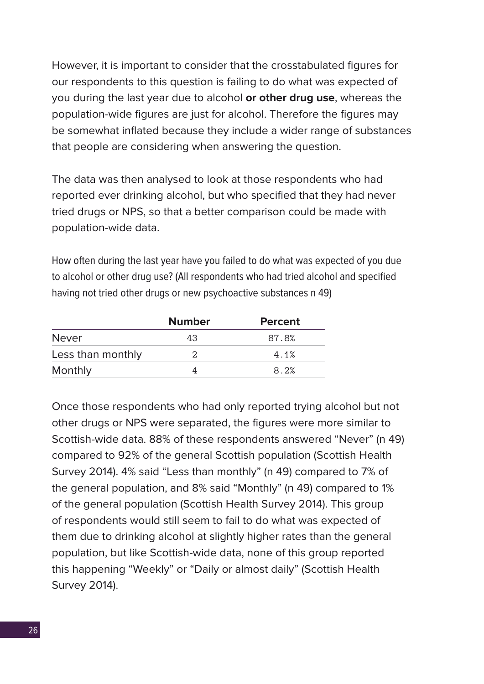However, it is important to consider that the crosstabulated figures for our respondents to this question is failing to do what was expected of you during the last year due to alcohol **or other drug use**, whereas the population-wide figures are just for alcohol. Therefore the figures may be somewhat inflated because they include a wider range of substances that people are considering when answering the question.

The data was then analysed to look at those respondents who had reported ever drinking alcohol, but who specified that they had never tried drugs or NPS, so that a better comparison could be made with population-wide data.

How often during the last year have you failed to do what was expected of you due to alcohol or other drug use? (All respondents who had tried alcohol and specified having not tried other drugs or new psychoactive substances n 49)

|                   | <b>Number</b> | <b>Percent</b> |
|-------------------|---------------|----------------|
| <b>Never</b>      | 43            | 87.8%          |
| Less than monthly | 2             | 4.1%           |
| Monthly           |               | 8.2%           |

Once those respondents who had only reported trying alcohol but not other drugs or NPS were separated, the figures were more similar to Scottish-wide data. 88% of these respondents answered "Never" (n 49) compared to 92% of the general Scottish population (Scottish Health Survey 2014). 4% said "Less than monthly" (n 49) compared to 7% of the general population, and 8% said "Monthly" (n 49) compared to 1% of the general population (Scottish Health Survey 2014). This group of respondents would still seem to fail to do what was expected of them due to drinking alcohol at slightly higher rates than the general population, but like Scottish-wide data, none of this group reported this happening "Weekly" or "Daily or almost daily" (Scottish Health Survey 2014).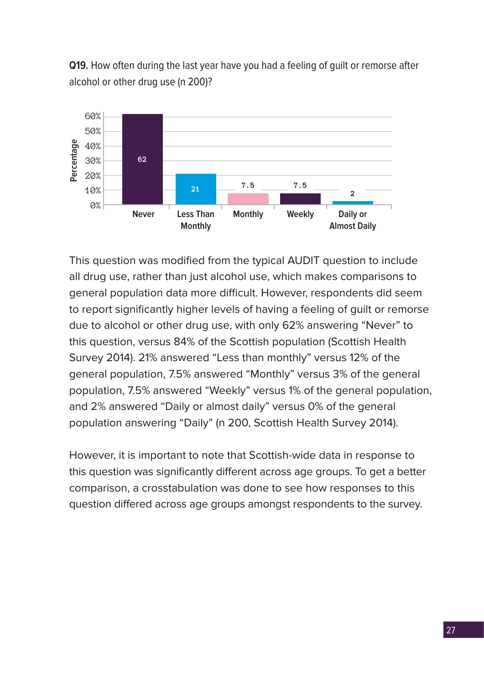**Q19.** How often during the last year have you had a feeling of guilt or remorse after alcohol or other drug use (n 200)?



This question was modified from the typical AUDIT question to include all drug use, rather than just alcohol use, which makes comparisons to general population data more difficult. However, respondents did seem to report significantly higher levels of having a feeling of guilt or remorse due to alcohol or other drug use, with only 62% answering "Never" to this question, versus 84% of the Scottish population (Scottish Health Survey 2014). 21% answered "Less than monthly" versus 12% of the general population, 7.5% answered "Monthly" versus 3% of the general population, 7.5% answered "Weekly" versus 1% of the general population, and 2% answered "Daily or almost daily" versus 0% of the general population answering "Daily" (n 200, Scottish Health Survey 2014).

However, it is important to note that Scottish-wide data in response to this question was significantly different across age groups. To get a better comparison, a crosstabulation was done to see how responses to this question differed across age groups amongst respondents to the survey.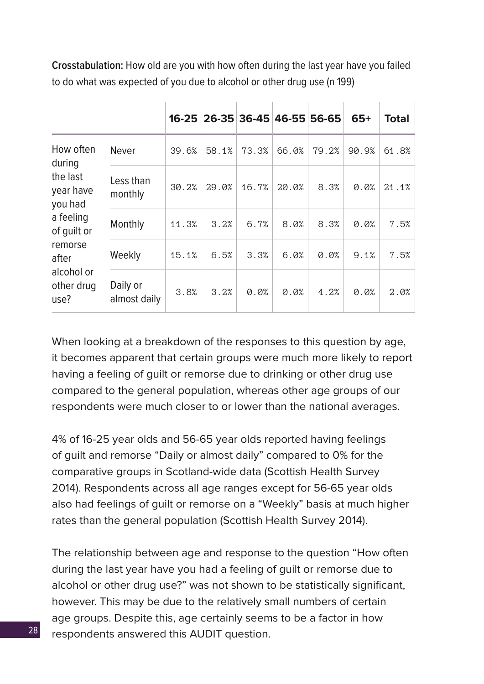**Crosstabulation:** How old are you with how often during the last year have you failed to do what was expected of you due to alcohol or other drug use (n 199)

|                                  |                          |       | 16-25 26-35 36-45 46-55 56-65 |       |       |       | $65+$ | <b>Total</b> |
|----------------------------------|--------------------------|-------|-------------------------------|-------|-------|-------|-------|--------------|
| How often<br>during              | <b>Never</b>             | 39.6% | 58.1%                         | 73.3% | 66.0% | 79.2% | 90.9% | 61.8%        |
| the last<br>year have<br>you had | Less than<br>monthly     | 30.2% | 29.0%                         | 16.7% | 20.0% | 8.3%  | 0.0%  | 21.1%        |
| a feeling<br>of quilt or         | Monthly                  | 11.3% | 3.2%                          | 6.7%  | 8.0%  | 8.3%  | 0.0%  | 7.5%         |
| remorse<br>after                 | Weekly                   | 15.1% | 6.5%                          | 3.3%  | 6.0%  | 0.0%  | 9.1%  | 7.5%         |
| alcohol or<br>other drug<br>use? | Daily or<br>almost daily | 3.8%  | 3.2%                          | 0.0%  | 0.0%  | 4.2%  | 0.0%  | 2.0%         |

When looking at a breakdown of the responses to this question by age, it becomes apparent that certain groups were much more likely to report having a feeling of guilt or remorse due to drinking or other drug use compared to the general population, whereas other age groups of our respondents were much closer to or lower than the national averages.

4% of 16-25 year olds and 56-65 year olds reported having feelings of guilt and remorse "Daily or almost daily" compared to 0% for the comparative groups in Scotland-wide data (Scottish Health Survey 2014). Respondents across all age ranges except for 56-65 year olds also had feelings of guilt or remorse on a "Weekly" basis at much higher rates than the general population (Scottish Health Survey 2014).

The relationship between age and response to the question "How often during the last year have you had a feeling of guilt or remorse due to alcohol or other drug use?" was not shown to be statistically significant, however. This may be due to the relatively small numbers of certain age groups. Despite this, age certainly seems to be a factor in how respondents answered this AUDIT question.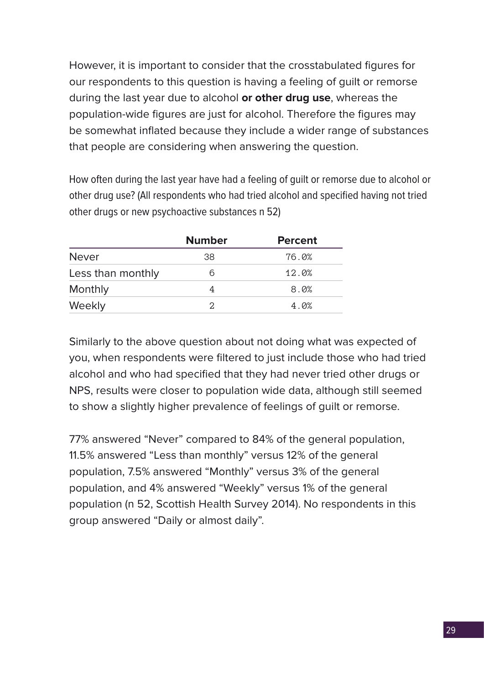However, it is important to consider that the crosstabulated figures for our respondents to this question is having a feeling of guilt or remorse during the last year due to alcohol **or other drug use**, whereas the population-wide figures are just for alcohol. Therefore the figures may be somewhat inflated because they include a wider range of substances that people are considering when answering the question.

How often during the last year have had a feeling of guilt or remorse due to alcohol or other drug use? (All respondents who had tried alcohol and specified having not tried other drugs or new psychoactive substances n 52)

|                   | <b>Number</b> | <b>Percent</b> |
|-------------------|---------------|----------------|
| <b>Never</b>      | 38            | 76.0%          |
| Less than monthly | 6             | 12.0%          |
| Monthly           |               | 8.0%           |
| Weekly            | 2             | 4.0%           |

Similarly to the above question about not doing what was expected of you, when respondents were filtered to just include those who had tried alcohol and who had specified that they had never tried other drugs or NPS, results were closer to population wide data, although still seemed to show a slightly higher prevalence of feelings of guilt or remorse.

77% answered "Never" compared to 84% of the general population, 11.5% answered "Less than monthly" versus 12% of the general population, 7.5% answered "Monthly" versus 3% of the general population, and 4% answered "Weekly" versus 1% of the general population (n 52, Scottish Health Survey 2014). No respondents in this group answered "Daily or almost daily".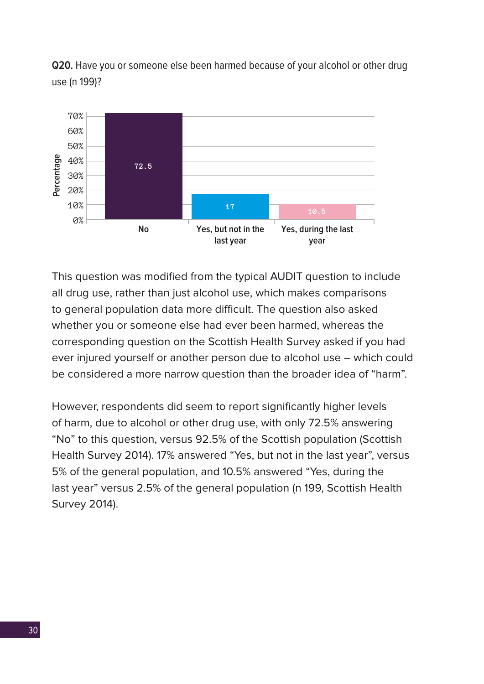**Q20.** Have you or someone else been harmed because of your alcohol or other drug use (n 199)?



This question was modified from the typical AUDIT question to include all drug use, rather than just alcohol use, which makes comparisons to general population data more difficult. The question also asked whether you or someone else had ever been harmed, whereas the corresponding question on the Scottish Health Survey asked if you had ever injured yourself or another person due to alcohol use – which could be considered a more narrow question than the broader idea of "harm".

However, respondents did seem to report significantly higher levels of harm, due to alcohol or other drug use, with only 72.5% answering "No" to this question, versus 92.5% of the Scottish population (Scottish Health Survey 2014). 17% answered "Yes, but not in the last year", versus 5% of the general population, and 10.5% answered "Yes, during the last year" versus 2.5% of the general population (n 199, Scottish Health Survey 2014).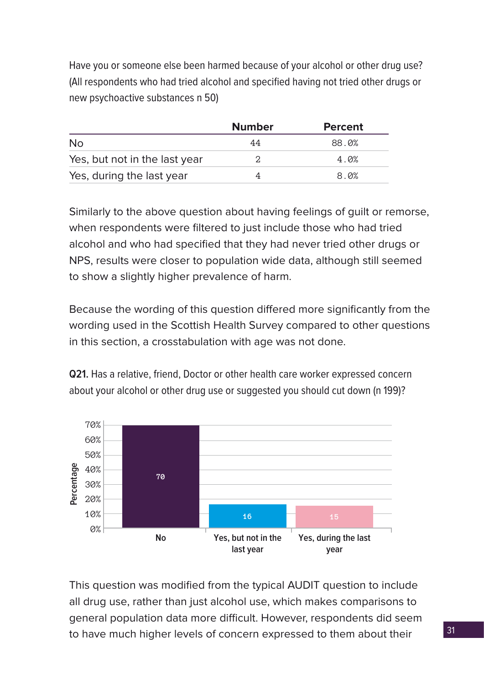Have you or someone else been harmed because of your alcohol or other drug use? (All respondents who had tried alcohol and specified having not tried other drugs or new psychoactive substances n 50)

|                               | <b>Number</b> | <b>Percent</b> |
|-------------------------------|---------------|----------------|
| <b>No</b>                     | 44            | 88.0%          |
| Yes, but not in the last year |               | 4.0%           |
| Yes, during the last year     |               | 8.0%           |

Similarly to the above question about having feelings of guilt or remorse, when respondents were filtered to just include those who had tried alcohol and who had specified that they had never tried other drugs or NPS, results were closer to population wide data, although still seemed to show a slightly higher prevalence of harm.

Because the wording of this question differed more significantly from the wording used in the Scottish Health Survey compared to other questions in this section, a crosstabulation with age was not done.

**Q21.** Has a relative, friend, Doctor or other health care worker expressed concern about your alcohol or other drug use or suggested you should cut down (n 199)?



This question was modified from the typical AUDIT question to include all drug use, rather than just alcohol use, which makes comparisons to general population data more difficult. However, respondents did seem to have much higher levels of concern expressed to them about their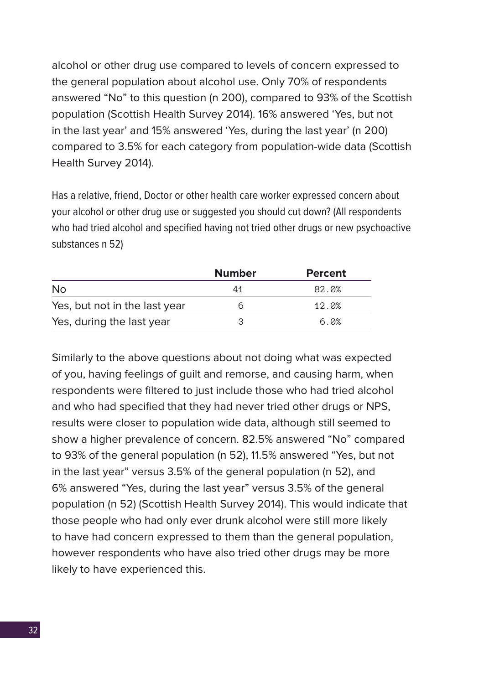alcohol or other drug use compared to levels of concern expressed to the general population about alcohol use. Only 70% of respondents answered "No" to this question (n 200), compared to 93% of the Scottish population (Scottish Health Survey 2014). 16% answered 'Yes, but not in the last year' and 15% answered 'Yes, during the last year' (n 200) compared to 3.5% for each category from population-wide data (Scottish Health Survey 2014).

Has a relative, friend, Doctor or other health care worker expressed concern about your alcohol or other drug use or suggested you should cut down? (All respondents who had tried alcohol and specified having not tried other drugs or new psychoactive substances n 52)

|                               | <b>Number</b> | <b>Percent</b> |
|-------------------------------|---------------|----------------|
| <b>No</b>                     | 41            | 82.0%          |
| Yes, but not in the last year |               | 12.0%          |
| Yes, during the last year     |               | 6.0%           |

Similarly to the above questions about not doing what was expected of you, having feelings of guilt and remorse, and causing harm, when respondents were filtered to just include those who had tried alcohol and who had specified that they had never tried other drugs or NPS, results were closer to population wide data, although still seemed to show a higher prevalence of concern. 82.5% answered "No" compared to 93% of the general population (n 52), 11.5% answered "Yes, but not in the last year" versus 3.5% of the general population (n 52), and 6% answered "Yes, during the last year" versus 3.5% of the general population (n 52) (Scottish Health Survey 2014). This would indicate that those people who had only ever drunk alcohol were still more likely to have had concern expressed to them than the general population, however respondents who have also tried other drugs may be more likely to have experienced this.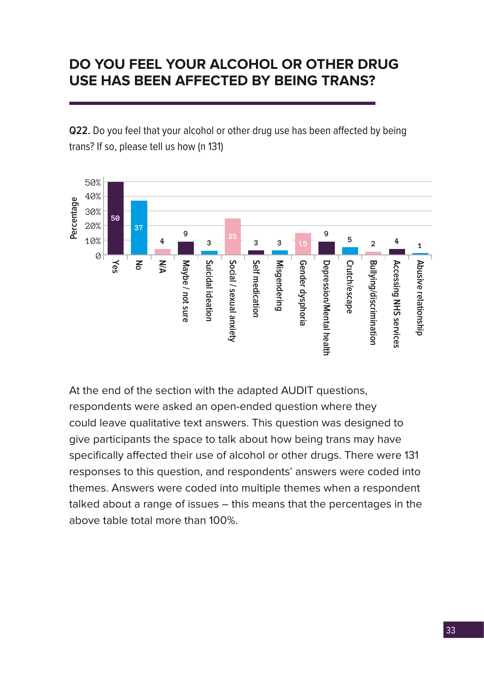# <span id="page-32-0"></span>**DO YOU FEEL YOUR ALCOHOL OR OTHER DRUG USE HAS BEEN AFFECTED BY BEING TRANS?**

**Q22.** Do you feel that your alcohol or other drug use has been affected by being trans? If so, please tell us how (n 131)



At the end of the section with the adapted AUDIT questions, respondents were asked an open-ended question where they could leave qualitative text answers. This question was designed to give participants the space to talk about how being trans may have specifically affected their use of alcohol or other drugs. There were 131 responses to this question, and respondents' answers were coded into themes. Answers were coded into multiple themes when a respondent talked about a range of issues – this means that the percentages in the above table total more than 100%.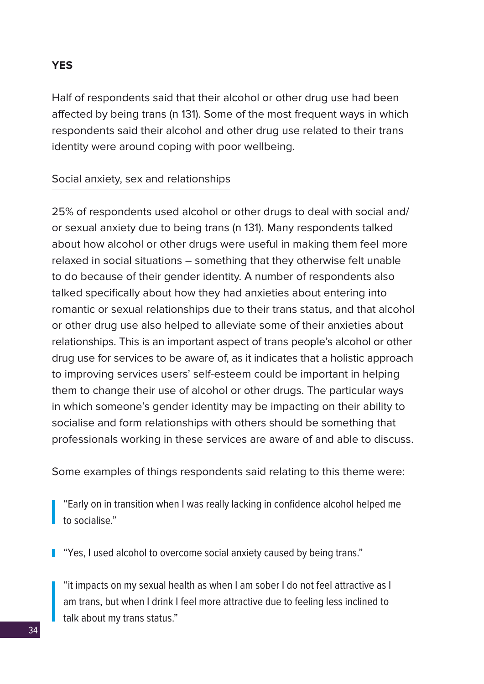#### **YES**

Half of respondents said that their alcohol or other drug use had been affected by being trans (n 131). Some of the most frequent ways in which respondents said their alcohol and other drug use related to their trans identity were around coping with poor wellbeing.

#### Social anxiety, sex and relationships

25% of respondents used alcohol or other drugs to deal with social and/ or sexual anxiety due to being trans (n 131). Many respondents talked about how alcohol or other drugs were useful in making them feel more relaxed in social situations – something that they otherwise felt unable to do because of their gender identity. A number of respondents also talked specifically about how they had anxieties about entering into romantic or sexual relationships due to their trans status, and that alcohol or other drug use also helped to alleviate some of their anxieties about relationships. This is an important aspect of trans people's alcohol or other drug use for services to be aware of, as it indicates that a holistic approach to improving services users' self-esteem could be important in helping them to change their use of alcohol or other drugs. The particular ways in which someone's gender identity may be impacting on their ability to socialise and form relationships with others should be something that professionals working in these services are aware of and able to discuss.

Some examples of things respondents said relating to this theme were:

"Early on in transition when I was really lacking in confidence alcohol helped me to socialise."

**T** "Yes, I used alcohol to overcome social anxiety caused by being trans."

"it impacts on my sexual health as when I am sober I do not feel attractive as I am trans, but when I drink I feel more attractive due to feeling less inclined to talk about my trans status."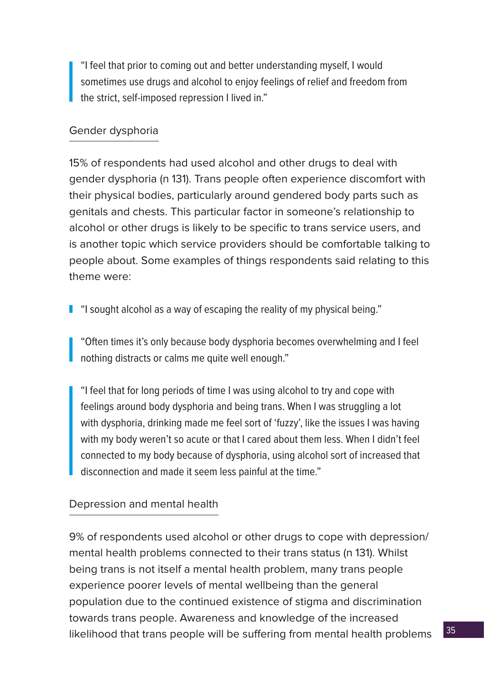"I feel that prior to coming out and better understanding myself, I would sometimes use drugs and alcohol to enjoy feelings of relief and freedom from the strict, self-imposed repression I lived in."

## Gender dysphoria

15% of respondents had used alcohol and other drugs to deal with gender dysphoria (n 131). Trans people often experience discomfort with their physical bodies, particularly around gendered body parts such as genitals and chests. This particular factor in someone's relationship to alcohol or other drugs is likely to be specific to trans service users, and is another topic which service providers should be comfortable talking to people about. Some examples of things respondents said relating to this theme were:

**I** "I sought alcohol as a way of escaping the reality of my physical being."

"Often times it's only because body dysphoria becomes overwhelming and I feel nothing distracts or calms me quite well enough."

"I feel that for long periods of time I was using alcohol to try and cope with feelings around body dysphoria and being trans. When I was struggling a lot with dysphoria, drinking made me feel sort of 'fuzzy', like the issues I was having with my body weren't so acute or that I cared about them less. When I didn't feel connected to my body because of dysphoria, using alcohol sort of increased that disconnection and made it seem less painful at the time."

## Depression and mental health

9% of respondents used alcohol or other drugs to cope with depression/ mental health problems connected to their trans status (n 131). Whilst being trans is not itself a mental health problem, many trans people experience poorer levels of mental wellbeing than the general population due to the continued existence of stigma and discrimination towards trans people. Awareness and knowledge of the increased likelihood that trans people will be suffering from mental health problems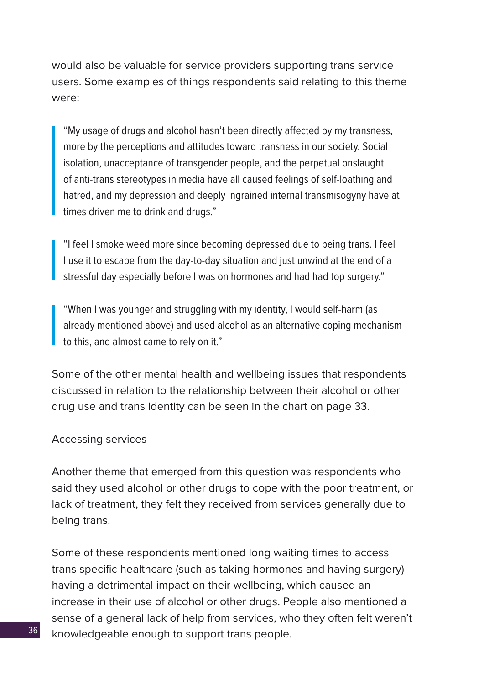would also be valuable for service providers supporting trans service users. Some examples of things respondents said relating to this theme were:

"My usage of drugs and alcohol hasn't been directly affected by my transness, more by the perceptions and attitudes toward transness in our society. Social isolation, unacceptance of transgender people, and the perpetual onslaught of anti-trans stereotypes in media have all caused feelings of self-loathing and hatred, and my depression and deeply ingrained internal transmisogyny have at times driven me to drink and drugs."

"I feel I smoke weed more since becoming depressed due to being trans. I feel I use it to escape from the day-to-day situation and just unwind at the end of a stressful day especially before I was on hormones and had had top surgery."

"When I was younger and struggling with my identity, I would self-harm (as already mentioned above) and used alcohol as an alternative coping mechanism to this, and almost came to rely on it."

Some of the other mental health and wellbeing issues that respondents discussed in relation to the relationship between their alcohol or other drug use and trans identity can be seen in the chart on page 33.

#### Accessing services

Another theme that emerged from this question was respondents who said they used alcohol or other drugs to cope with the poor treatment, or lack of treatment, they felt they received from services generally due to being trans.

Some of these respondents mentioned long waiting times to access trans specific healthcare (such as taking hormones and having surgery) having a detrimental impact on their wellbeing, which caused an increase in their use of alcohol or other drugs. People also mentioned a sense of a general lack of help from services, who they often felt weren't knowledgeable enough to support trans people.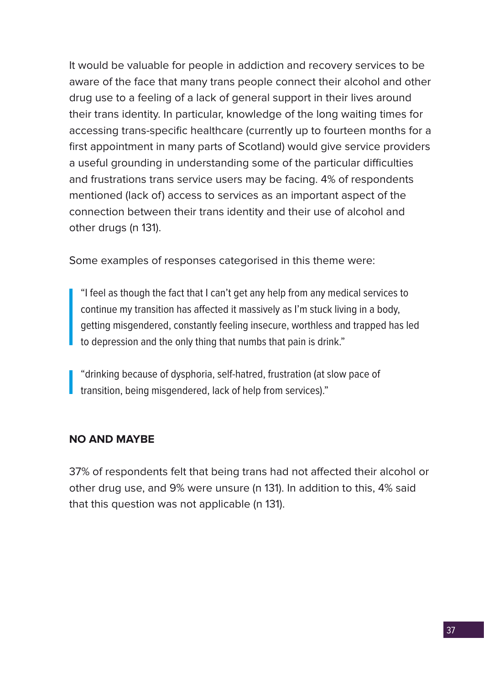It would be valuable for people in addiction and recovery services to be aware of the face that many trans people connect their alcohol and other drug use to a feeling of a lack of general support in their lives around their trans identity. In particular, knowledge of the long waiting times for accessing trans-specific healthcare (currently up to fourteen months for a first appointment in many parts of Scotland) would give service providers a useful grounding in understanding some of the particular difficulties and frustrations trans service users may be facing. 4% of respondents mentioned (lack of) access to services as an important aspect of the connection between their trans identity and their use of alcohol and other drugs (n 131).

Some examples of responses categorised in this theme were:

"I feel as though the fact that I can't get any help from any medical services to continue my transition has affected it massively as I'm stuck living in a body, getting misgendered, constantly feeling insecure, worthless and trapped has led to depression and the only thing that numbs that pain is drink."

"drinking because of dysphoria, self-hatred, frustration (at slow pace of transition, being misgendered, lack of help from services)."

## **NO AND MAYBE**

37% of respondents felt that being trans had not affected their alcohol or other drug use, and 9% were unsure (n 131). In addition to this, 4% said that this question was not applicable (n 131).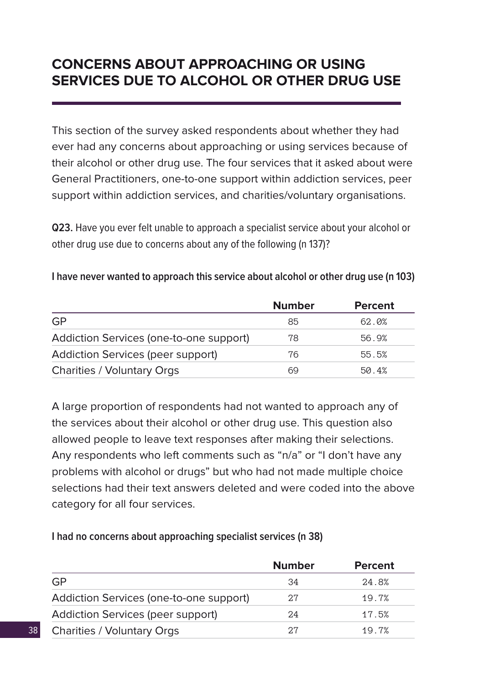## **CONCERNS ABOUT APPROACHING OR USING SERVICES DUE TO ALCOHOL OR OTHER DRUG USE**

This section of the survey asked respondents about whether they had ever had any concerns about approaching or using services because of their alcohol or other drug use. The four services that it asked about were General Practitioners, one-to-one support within addiction services, peer support within addiction services, and charities/voluntary organisations.

**Q23.** Have you ever felt unable to approach a specialist service about your alcohol or other drug use due to concerns about any of the following (n 137)?

|                                          | <b>Number</b> | <b>Percent</b> |
|------------------------------------------|---------------|----------------|
| GP                                       | 85            | 62.0%          |
| Addiction Services (one-to-one support)  | 78            | 56.9%          |
| <b>Addiction Services (peer support)</b> | 76            | 55.5%          |
| <b>Charities / Voluntary Orgs</b>        | 69            | 50.4%          |

## **I have never wanted to approach this service about alcohol or other drug use (n 103)**

A large proportion of respondents had not wanted to approach any of the services about their alcohol or other drug use. This question also allowed people to leave text responses after making their selections. Any respondents who left comments such as "n/a" or "I don't have any problems with alcohol or drugs" but who had not made multiple choice selections had their text answers deleted and were coded into the above category for all four services.

| I had no concerns about approaching specialist services (n 38) |  |
|----------------------------------------------------------------|--|
|----------------------------------------------------------------|--|

|                                         | <b>Number</b> | <b>Percent</b> |
|-----------------------------------------|---------------|----------------|
| GP                                      | 34            | 24.8%          |
| Addiction Services (one-to-one support) | 27            | 19.7%          |
| Addiction Services (peer support)       | 24            | 17.5%          |
| <b>Charities / Voluntary Orgs</b>       | 2.7           | 19.7%          |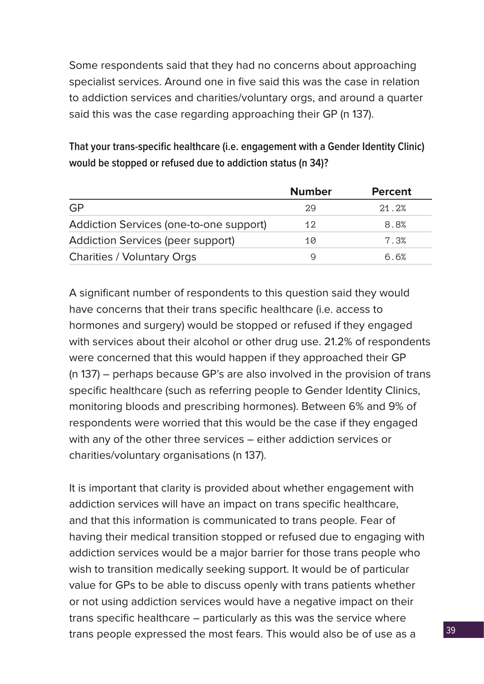Some respondents said that they had no concerns about approaching specialist services. Around one in five said this was the case in relation to addiction services and charities/voluntary orgs, and around a quarter said this was the case regarding approaching their GP (n 137).

**That your trans-specific healthcare (i.e. engagement with a Gender Identity Clinic) would be stopped or refused due to addiction status (n 34)?**

|                                          | <b>Number</b> | <b>Percent</b> |
|------------------------------------------|---------------|----------------|
| <b>GP</b>                                | 29            | 21.2%          |
| Addiction Services (one-to-one support)  | 12            | 8.8%           |
| <b>Addiction Services (peer support)</b> | 10            | 7.3%           |
| <b>Charities / Voluntary Orgs</b>        | g             | ნ. ნ%          |

A significant number of respondents to this question said they would have concerns that their trans specific healthcare (i.e. access to hormones and surgery) would be stopped or refused if they engaged with services about their alcohol or other drug use. 21.2% of respondents were concerned that this would happen if they approached their GP (n 137) – perhaps because GP's are also involved in the provision of trans specific healthcare (such as referring people to Gender Identity Clinics, monitoring bloods and prescribing hormones). Between 6% and 9% of respondents were worried that this would be the case if they engaged with any of the other three services – either addiction services or charities/voluntary organisations (n 137).

It is important that clarity is provided about whether engagement with addiction services will have an impact on trans specific healthcare, and that this information is communicated to trans people. Fear of having their medical transition stopped or refused due to engaging with addiction services would be a major barrier for those trans people who wish to transition medically seeking support. It would be of particular value for GPs to be able to discuss openly with trans patients whether or not using addiction services would have a negative impact on their trans specific healthcare – particularly as this was the service where trans people expressed the most fears. This would also be of use as a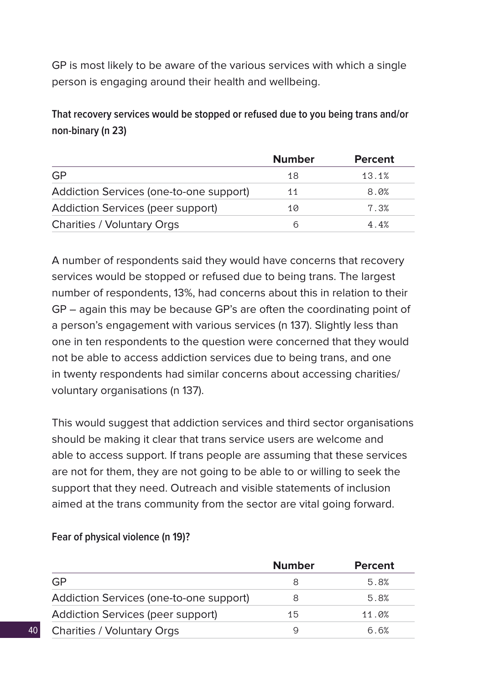GP is most likely to be aware of the various services with which a single person is engaging around their health and wellbeing.

**That recovery services would be stopped or refused due to you being trans and/or non-binary (n 23)**

|                                         | <b>Number</b> | <b>Percent</b> |
|-----------------------------------------|---------------|----------------|
| GP                                      | 18            | 13.1%          |
| Addiction Services (one-to-one support) | 11            | 8.0%           |
| Addiction Services (peer support)       | 10            | 7.3%           |
| <b>Charities / Voluntary Orgs</b>       | 6             | 4.4%           |

A number of respondents said they would have concerns that recovery services would be stopped or refused due to being trans. The largest number of respondents, 13%, had concerns about this in relation to their GP – again this may be because GP's are often the coordinating point of a person's engagement with various services (n 137). Slightly less than one in ten respondents to the question were concerned that they would not be able to access addiction services due to being trans, and one in twenty respondents had similar concerns about accessing charities/ voluntary organisations (n 137).

This would suggest that addiction services and third sector organisations should be making it clear that trans service users are welcome and able to access support. If trans people are assuming that these services are not for them, they are not going to be able to or willing to seek the support that they need. Outreach and visible statements of inclusion aimed at the trans community from the sector are vital going forward.

|                                          | <b>Number</b> | <b>Percent</b> |
|------------------------------------------|---------------|----------------|
| GP                                       | 8             | 5.8%           |
| Addiction Services (one-to-one support)  | 8             | 5.8%           |
| <b>Addiction Services (peer support)</b> | 15            | 11.0%          |
| <b>Charities / Voluntary Orgs</b>        | Q             | ი ი%           |

## **Fear of physical violence (n 19)?**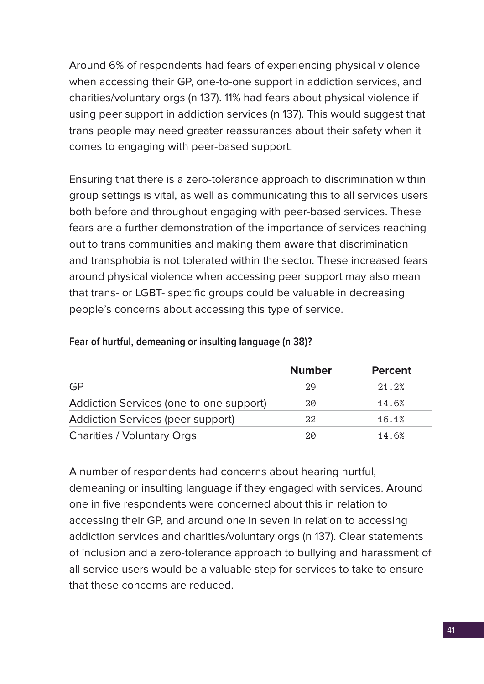Around 6% of respondents had fears of experiencing physical violence when accessing their GP, one-to-one support in addiction services, and charities/voluntary orgs (n 137). 11% had fears about physical violence if using peer support in addiction services (n 137). This would suggest that trans people may need greater reassurances about their safety when it comes to engaging with peer-based support.

Ensuring that there is a zero-tolerance approach to discrimination within group settings is vital, as well as communicating this to all services users both before and throughout engaging with peer-based services. These fears are a further demonstration of the importance of services reaching out to trans communities and making them aware that discrimination and transphobia is not tolerated within the sector. These increased fears around physical violence when accessing peer support may also mean that trans- or LGBT- specific groups could be valuable in decreasing people's concerns about accessing this type of service.

|                                         | <b>Number</b> | <b>Percent</b> |
|-----------------------------------------|---------------|----------------|
| <b>GP</b>                               | 29            | 21.2%          |
| Addiction Services (one-to-one support) | 20            | 14.6%          |
| Addiction Services (peer support)       | 22            | 16.1%          |
| <b>Charities / Voluntary Orgs</b>       | 20            | 14.6%          |

#### **Fear of hurtful, demeaning or insulting language (n 38)?**

A number of respondents had concerns about hearing hurtful, demeaning or insulting language if they engaged with services. Around one in five respondents were concerned about this in relation to accessing their GP, and around one in seven in relation to accessing addiction services and charities/voluntary orgs (n 137). Clear statements of inclusion and a zero-tolerance approach to bullying and harassment of all service users would be a valuable step for services to take to ensure that these concerns are reduced.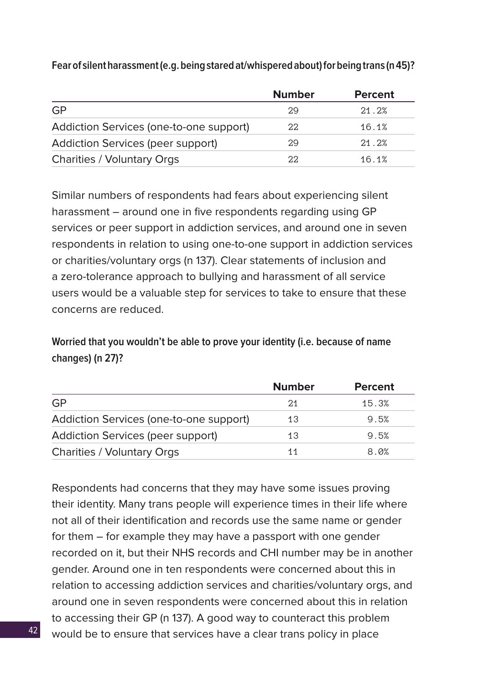|                                         | <b>Number</b> | <b>Percent</b> |
|-----------------------------------------|---------------|----------------|
| <b>GP</b>                               | 29            | 21.2%          |
| Addiction Services (one-to-one support) | 22            | 16.1%          |
| Addiction Services (peer support)       | 29            | 21.2%          |
| <b>Charities / Voluntary Orgs</b>       | 22            | 16.1%          |

**Fear of silent harassment (e.g. being stared at/whispered about) for being trans (n 45)?**

Similar numbers of respondents had fears about experiencing silent harassment – around one in five respondents regarding using GP services or peer support in addiction services, and around one in seven respondents in relation to using one-to-one support in addiction services or charities/voluntary orgs (n 137). Clear statements of inclusion and a zero-tolerance approach to bullying and harassment of all service users would be a valuable step for services to take to ensure that these concerns are reduced.

**Worried that you wouldn't be able to prove your identity (i.e. because of name changes) (n 27)?**

|                                         | <b>Number</b> | <b>Percent</b> |
|-----------------------------------------|---------------|----------------|
| GP                                      | 21            | 15.3%          |
| Addiction Services (one-to-one support) | 13            | 9.5%           |
| Addiction Services (peer support)       | 13            | 9.5%           |
| <b>Charities / Voluntary Orgs</b>       | 11            | 8.0%           |

Respondents had concerns that they may have some issues proving their identity. Many trans people will experience times in their life where not all of their identification and records use the same name or gender for them – for example they may have a passport with one gender recorded on it, but their NHS records and CHI number may be in another gender. Around one in ten respondents were concerned about this in relation to accessing addiction services and charities/voluntary orgs, and around one in seven respondents were concerned about this in relation to accessing their GP (n 137). A good way to counteract this problem would be to ensure that services have a clear trans policy in place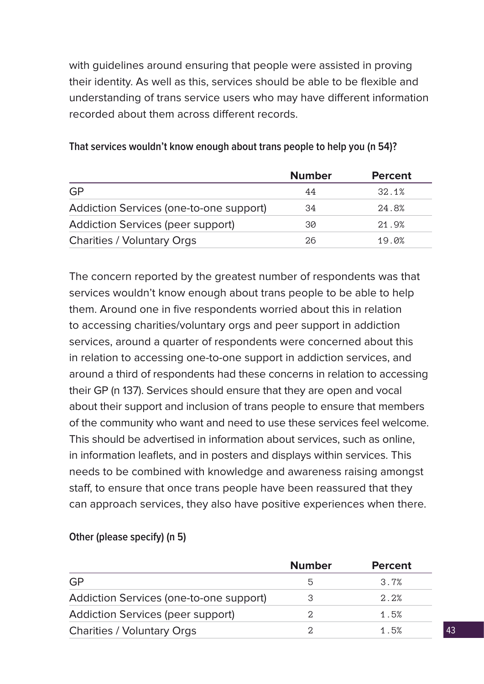with guidelines around ensuring that people were assisted in proving their identity. As well as this, services should be able to be flexible and understanding of trans service users who may have different information recorded about them across different records.

|                                         | <b>Number</b> | <b>Percent</b> |
|-----------------------------------------|---------------|----------------|
| <b>GP</b>                               | 44            | 32.1%          |
| Addiction Services (one-to-one support) | 34            | 24.8%          |
| Addiction Services (peer support)       | 30            | 21.9%          |
| <b>Charities / Voluntary Orgs</b>       | 26            | 19.0%          |

#### **That services wouldn't know enough about trans people to help you (n 54)?**

The concern reported by the greatest number of respondents was that services wouldn't know enough about trans people to be able to help them. Around one in five respondents worried about this in relation to accessing charities/voluntary orgs and peer support in addiction services, around a quarter of respondents were concerned about this in relation to accessing one-to-one support in addiction services, and around a third of respondents had these concerns in relation to accessing their GP (n 137). Services should ensure that they are open and vocal about their support and inclusion of trans people to ensure that members of the community who want and need to use these services feel welcome. This should be advertised in information about services, such as online, in information leaflets, and in posters and displays within services. This needs to be combined with knowledge and awareness raising amongst staff, to ensure that once trans people have been reassured that they can approach services, they also have positive experiences when there.

|                                         | <b>Number</b> | <b>Percent</b> |
|-----------------------------------------|---------------|----------------|
| <b>GP</b>                               | 5             | 3.7%           |
| Addiction Services (one-to-one support) | З             | 2.2%           |
| Addiction Services (peer support)       | 2.            | 1.5%           |
| <b>Charities / Voluntary Orgs</b>       | ◠             | 1.5%           |

## **Other (please specify) (n 5)**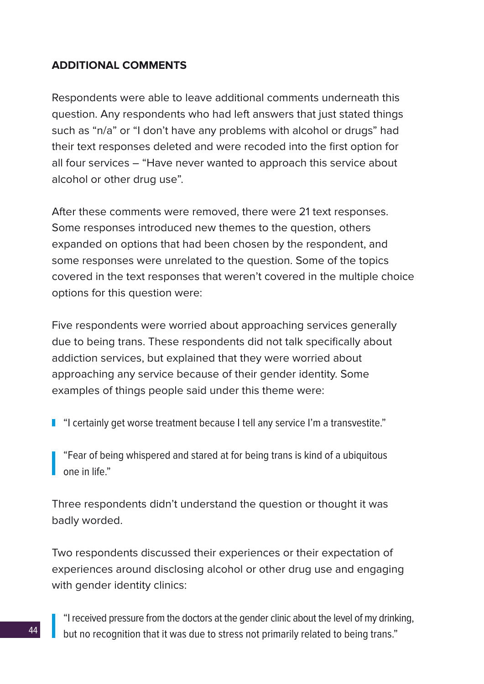## **ADDITIONAL COMMENTS**

Respondents were able to leave additional comments underneath this question. Any respondents who had left answers that just stated things such as "n/a" or "I don't have any problems with alcohol or drugs" had their text responses deleted and were recoded into the first option for all four services – "Have never wanted to approach this service about alcohol or other drug use".

After these comments were removed, there were 21 text responses. Some responses introduced new themes to the question, others expanded on options that had been chosen by the respondent, and some responses were unrelated to the question. Some of the topics covered in the text responses that weren't covered in the multiple choice options for this question were:

Five respondents were worried about approaching services generally due to being trans. These respondents did not talk specifically about addiction services, but explained that they were worried about approaching any service because of their gender identity. Some examples of things people said under this theme were:

"I certainly get worse treatment because I tell any service I'm a transvestite."

"Fear of being whispered and stared at for being trans is kind of a ubiquitous one in life."

Three respondents didn't understand the question or thought it was badly worded.

Two respondents discussed their experiences or their expectation of experiences around disclosing alcohol or other drug use and engaging with gender identity clinics:

"I received pressure from the doctors at the gender clinic about the level of my drinking, but no recognition that it was due to stress not primarily related to being trans."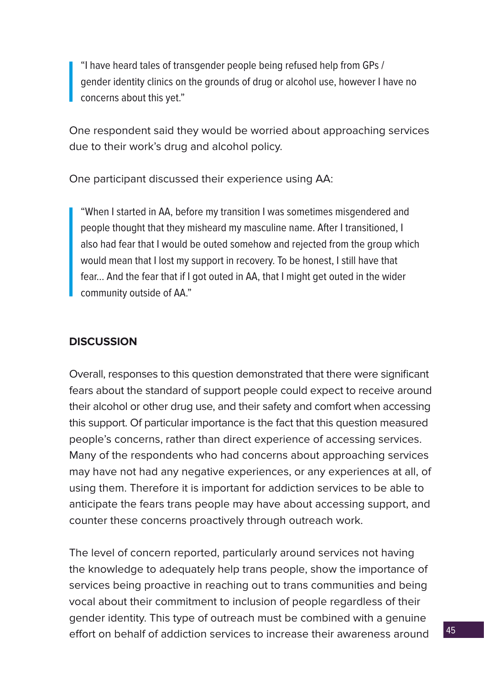"I have heard tales of transgender people being refused help from GPs / gender identity clinics on the grounds of drug or alcohol use, however I have no concerns about this yet."

One respondent said they would be worried about approaching services due to their work's drug and alcohol policy.

One participant discussed their experience using AA:

"When I started in AA, before my transition I was sometimes misgendered and people thought that they misheard my masculine name. After I transitioned, I also had fear that I would be outed somehow and rejected from the group which would mean that I lost my support in recovery. To be honest, I still have that fear... And the fear that if I got outed in AA, that I might get outed in the wider community outside of AA."

## **DISCUSSION**

Overall, responses to this question demonstrated that there were significant fears about the standard of support people could expect to receive around their alcohol or other drug use, and their safety and comfort when accessing this support. Of particular importance is the fact that this question measured people's concerns, rather than direct experience of accessing services. Many of the respondents who had concerns about approaching services may have not had any negative experiences, or any experiences at all, of using them. Therefore it is important for addiction services to be able to anticipate the fears trans people may have about accessing support, and counter these concerns proactively through outreach work.

The level of concern reported, particularly around services not having the knowledge to adequately help trans people, show the importance of services being proactive in reaching out to trans communities and being vocal about their commitment to inclusion of people regardless of their gender identity. This type of outreach must be combined with a genuine effort on behalf of addiction services to increase their awareness around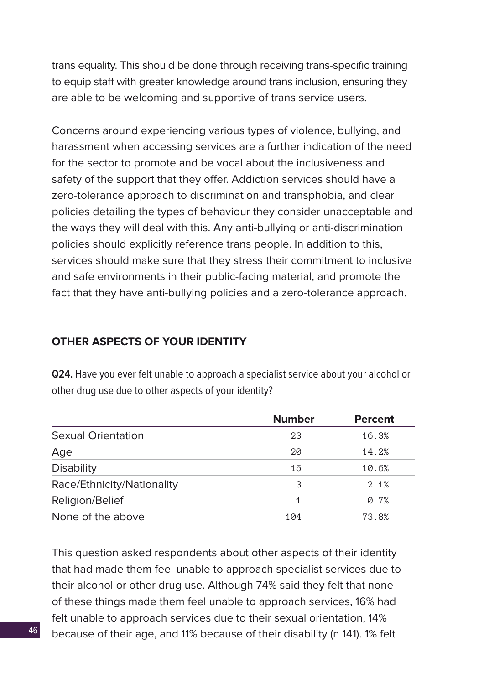trans equality. This should be done through receiving trans-specific training to equip staff with greater knowledge around trans inclusion, ensuring they are able to be welcoming and supportive of trans service users.

Concerns around experiencing various types of violence, bullying, and harassment when accessing services are a further indication of the need for the sector to promote and be vocal about the inclusiveness and safety of the support that they offer. Addiction services should have a zero-tolerance approach to discrimination and transphobia, and clear policies detailing the types of behaviour they consider unacceptable and the ways they will deal with this. Any anti-bullying or anti-discrimination policies should explicitly reference trans people. In addition to this, services should make sure that they stress their commitment to inclusive and safe environments in their public-facing material, and promote the fact that they have anti-bullying policies and a zero-tolerance approach.

## **OTHER ASPECTS OF YOUR IDENTITY**

**Q24.** Have you ever felt unable to approach a specialist service about your alcohol or other drug use due to other aspects of your identity?

|                            | <b>Number</b> | <b>Percent</b> |
|----------------------------|---------------|----------------|
| <b>Sexual Orientation</b>  | 23            | 16.3%          |
| Age                        | 20            | 14.2%          |
| <b>Disability</b>          | 15            | 10.6%          |
| Race/Ethnicity/Nationality | 3             | 2.1%           |
| Religion/Belief            | 1             | 0.7%           |
| None of the above          | 104           | 73.8%          |

This question asked respondents about other aspects of their identity that had made them feel unable to approach specialist services due to their alcohol or other drug use. Although 74% said they felt that none of these things made them feel unable to approach services, 16% had felt unable to approach services due to their sexual orientation, 14% because of their age, and 11% because of their disability (n 141). 1% felt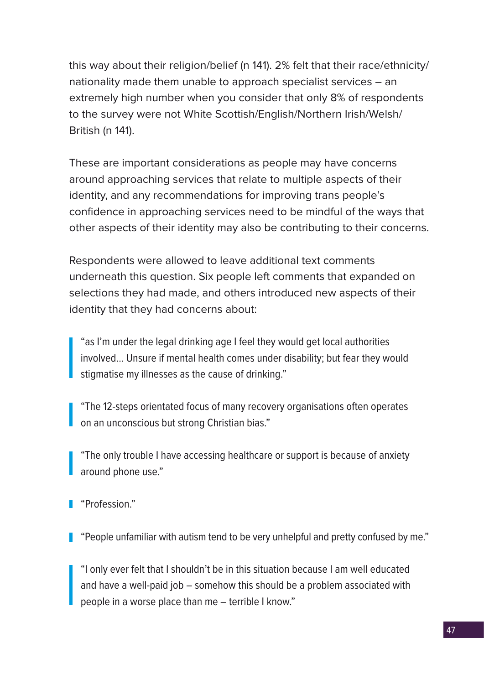this way about their religion/belief (n 141). 2% felt that their race/ethnicity/ nationality made them unable to approach specialist services – an extremely high number when you consider that only 8% of respondents to the survey were not White Scottish/English/Northern Irish/Welsh/ British (n 141).

These are important considerations as people may have concerns around approaching services that relate to multiple aspects of their identity, and any recommendations for improving trans people's confidence in approaching services need to be mindful of the ways that other aspects of their identity may also be contributing to their concerns.

Respondents were allowed to leave additional text comments underneath this question. Six people left comments that expanded on selections they had made, and others introduced new aspects of their identity that they had concerns about:

"as I'm under the legal drinking age I feel they would get local authorities involved… Unsure if mental health comes under disability; but fear they would stigmatise my illnesses as the cause of drinking."

"The 12-steps orientated focus of many recovery organisations often operates on an unconscious but strong Christian bias."

"The only trouble I have accessing healthcare or support is because of anxiety around phone use."

"Profession."

"People unfamiliar with autism tend to be very unhelpful and pretty confused by me."

"I only ever felt that I shouldn't be in this situation because I am well educated and have a well-paid job – somehow this should be a problem associated with people in a worse place than me – terrible I know."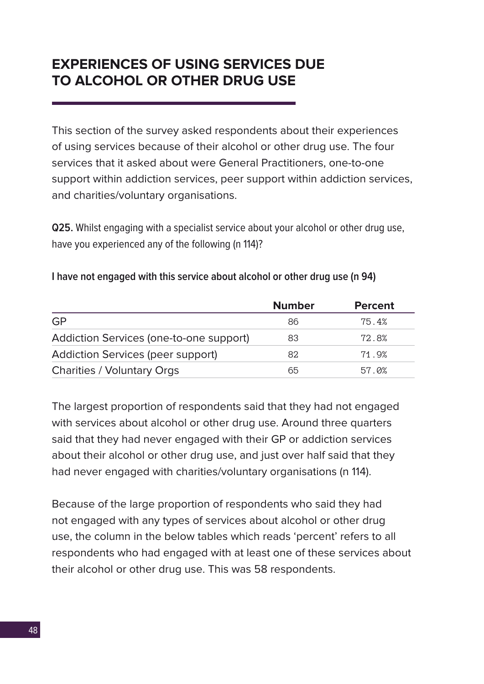## **EXPERIENCES OF USING SERVICES DUE TO ALCOHOL OR OTHER DRUG USE**

This section of the survey asked respondents about their experiences of using services because of their alcohol or other drug use. The four services that it asked about were General Practitioners, one-to-one support within addiction services, peer support within addiction services, and charities/voluntary organisations.

**Q25.** Whilst engaging with a specialist service about your alcohol or other drug use, have you experienced any of the following (n 114)?

|                                          | <b>Number</b> | <b>Percent</b> |
|------------------------------------------|---------------|----------------|
| GP                                       | 86            | 75.4%          |
| Addiction Services (one-to-one support)  | 83            | 72.8%          |
| <b>Addiction Services (peer support)</b> | 82            | 71.9%          |
| <b>Charities / Voluntary Orgs</b>        | 65            | 57.0%          |

#### **I have not engaged with this service about alcohol or other drug use (n 94)**

The largest proportion of respondents said that they had not engaged with services about alcohol or other drug use. Around three quarters said that they had never engaged with their GP or addiction services about their alcohol or other drug use, and just over half said that they had never engaged with charities/voluntary organisations (n 114).

Because of the large proportion of respondents who said they had not engaged with any types of services about alcohol or other drug use, the column in the below tables which reads 'percent' refers to all respondents who had engaged with at least one of these services about their alcohol or other drug use. This was 58 respondents.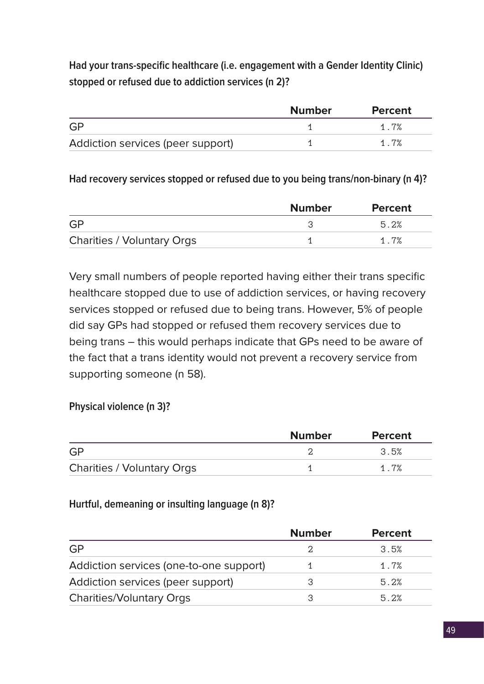**Had your trans-specific healthcare (i.e. engagement with a Gender Identity Clinic) stopped or refused due to addiction services (n 2)?**

|                                   | <b>Number</b> | <b>Percent</b> |
|-----------------------------------|---------------|----------------|
| GP                                |               | 1.7%           |
| Addiction services (peer support) |               | 1.7%           |

## **Had recovery services stopped or refused due to you being trans/non-binary (n 4)?**

|                                   | <b>Number</b> | <b>Percent</b> |
|-----------------------------------|---------------|----------------|
| GP                                |               | 5.2%           |
| <b>Charities / Voluntary Orgs</b> |               | 1.7%           |

Very small numbers of people reported having either their trans specific healthcare stopped due to use of addiction services, or having recovery services stopped or refused due to being trans. However, 5% of people did say GPs had stopped or refused them recovery services due to being trans – this would perhaps indicate that GPs need to be aware of the fact that a trans identity would not prevent a recovery service from supporting someone (n 58).

## **Physical violence (n 3)?**

|                                   | <b>Number</b> | <b>Percent</b> |
|-----------------------------------|---------------|----------------|
| GP                                |               | 3.5%           |
| <b>Charities / Voluntary Orgs</b> |               | 1.7%           |

## **Hurtful, demeaning or insulting language (n 8)?**

|                                         | <b>Number</b> | <b>Percent</b> |
|-----------------------------------------|---------------|----------------|
| <b>GP</b>                               |               | 3.5%           |
| Addiction services (one-to-one support) |               | 1.7%           |
| Addiction services (peer support)       |               | 5.2%           |
| <b>Charities/Voluntary Orgs</b>         | 3             | 5.2%           |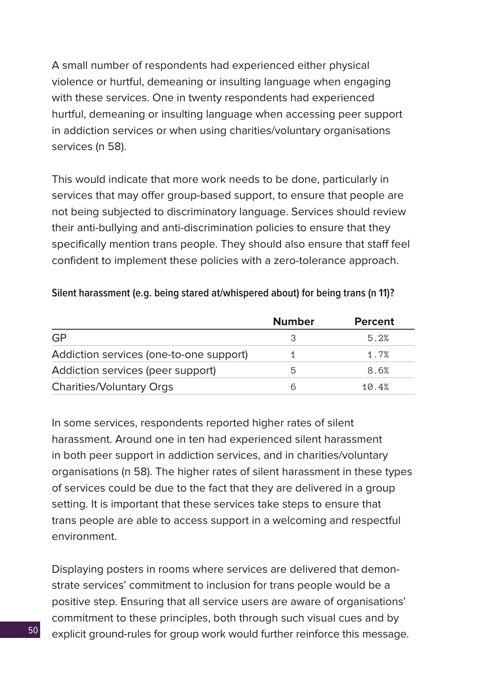A small number of respondents had experienced either physical violence or hurtful, demeaning or insulting language when engaging with these services. One in twenty respondents had experienced hurtful, demeaning or insulting language when accessing peer support in addiction services or when using charities/voluntary organisations services (n 58).

This would indicate that more work needs to be done, particularly in services that may offer group-based support, to ensure that people are not being subjected to discriminatory language. Services should review their anti-bullying and anti-discrimination policies to ensure that they specifically mention trans people. They should also ensure that staff feel confident to implement these policies with a zero-tolerance approach.

| Silent harassment (e.g. being stared at/whispered about) for being trans (n 11)? |  |  |  |  |  |
|----------------------------------------------------------------------------------|--|--|--|--|--|
|----------------------------------------------------------------------------------|--|--|--|--|--|

|                                         | <b>Number</b> | <b>Percent</b> |
|-----------------------------------------|---------------|----------------|
| <b>GP</b>                               |               | 5.2%           |
| Addiction services (one-to-one support) |               | 1.7%           |
| Addiction services (peer support)       | 5             | 8.6%           |
| <b>Charities/Voluntary Orgs</b>         | ൳             | 10.4%          |

In some services, respondents reported higher rates of silent harassment. Around one in ten had experienced silent harassment in both peer support in addiction services, and in charities/voluntary organisations (n 58). The higher rates of silent harassment in these types of services could be due to the fact that they are delivered in a group setting. It is important that these services take steps to ensure that trans people are able to access support in a welcoming and respectful environment.

Displaying posters in rooms where services are delivered that demonstrate services' commitment to inclusion for trans people would be a positive step. Ensuring that all service users are aware of organisations' commitment to these principles, both through such visual cues and by explicit ground-rules for group work would further reinforce this message.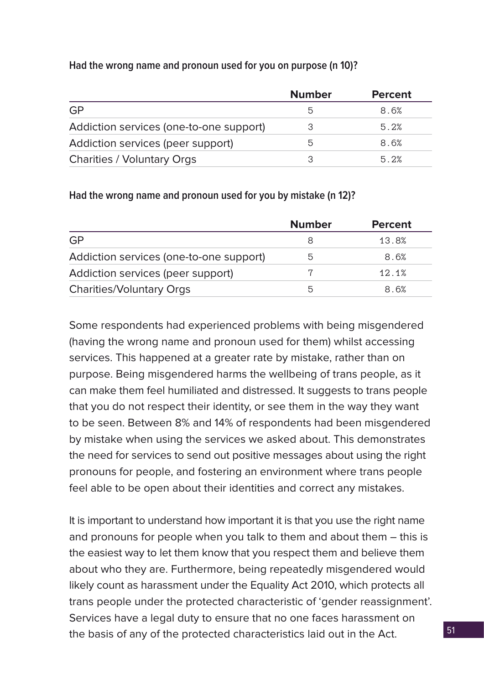## **Had the wrong name and pronoun used for you on purpose (n 10)?**

|                                         | <b>Number</b> | <b>Percent</b> |
|-----------------------------------------|---------------|----------------|
| <b>GP</b>                               | 5             | 8.6%           |
| Addiction services (one-to-one support) | З             | 5.2%           |
| Addiction services (peer support)       | 5             | 8.6%           |
| <b>Charities / Voluntary Orgs</b>       | 3             | 5.2%           |

## **Had the wrong name and pronoun used for you by mistake (n 12)?**

|                                         | <b>Number</b> | <b>Percent</b> |
|-----------------------------------------|---------------|----------------|
| <b>GP</b>                               |               | 13.8%          |
| Addiction services (one-to-one support) | 5             | 8.6%           |
| Addiction services (peer support)       |               | 12.1%          |
| <b>Charities/Voluntary Orgs</b>         | 5             | 8.6%           |

Some respondents had experienced problems with being misgendered (having the wrong name and pronoun used for them) whilst accessing services. This happened at a greater rate by mistake, rather than on purpose. Being misgendered harms the wellbeing of trans people, as it can make them feel humiliated and distressed. It suggests to trans people that you do not respect their identity, or see them in the way they want to be seen. Between 8% and 14% of respondents had been misgendered by mistake when using the services we asked about. This demonstrates the need for services to send out positive messages about using the right pronouns for people, and fostering an environment where trans people feel able to be open about their identities and correct any mistakes.

It is important to understand how important it is that you use the right name and pronouns for people when you talk to them and about them – this is the easiest way to let them know that you respect them and believe them about who they are. Furthermore, being repeatedly misgendered would likely count as harassment under the Equality Act 2010, which protects all trans people under the protected characteristic of 'gender reassignment'. Services have a legal duty to ensure that no one faces harassment on the basis of any of the protected characteristics laid out in the Act.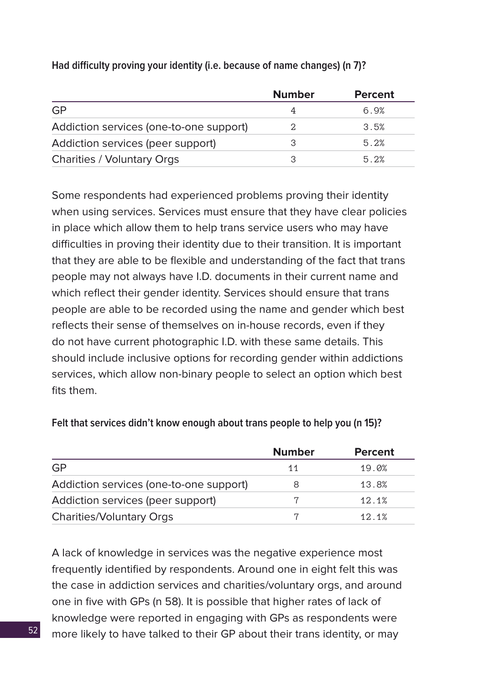|                                         | <b>Number</b> | <b>Percent</b> |
|-----------------------------------------|---------------|----------------|
| <b>GP</b>                               |               | 6.9%           |
| Addiction services (one-to-one support) | 2             | 3.5%           |
| Addiction services (peer support)       | 3             | 5.2%           |
| <b>Charities / Voluntary Orgs</b>       | З             | 5.2%           |

## **Had difficulty proving your identity (i.e. because of name changes) (n 7)?**

Some respondents had experienced problems proving their identity when using services. Services must ensure that they have clear policies in place which allow them to help trans service users who may have difficulties in proving their identity due to their transition. It is important that they are able to be flexible and understanding of the fact that trans people may not always have I.D. documents in their current name and which reflect their gender identity. Services should ensure that trans people are able to be recorded using the name and gender which best reflects their sense of themselves on in-house records, even if they do not have current photographic I.D. with these same details. This should include inclusive options for recording gender within addictions services, which allow non-binary people to select an option which best fits them.

|                                         | <b>Number</b> | <b>Percent</b> |
|-----------------------------------------|---------------|----------------|
| <b>GP</b>                               | 11            | 19.0%          |
| Addiction services (one-to-one support) | 8             | 13.8%          |
| Addiction services (peer support)       |               | 12.1%          |
| <b>Charities/Voluntary Orgs</b>         |               | 12.1%          |

#### **Felt that services didn't know enough about trans people to help you (n 15)?**

A lack of knowledge in services was the negative experience most frequently identified by respondents. Around one in eight felt this was the case in addiction services and charities/voluntary orgs, and around one in five with GPs (n 58). It is possible that higher rates of lack of knowledge were reported in engaging with GPs as respondents were more likely to have talked to their GP about their trans identity, or may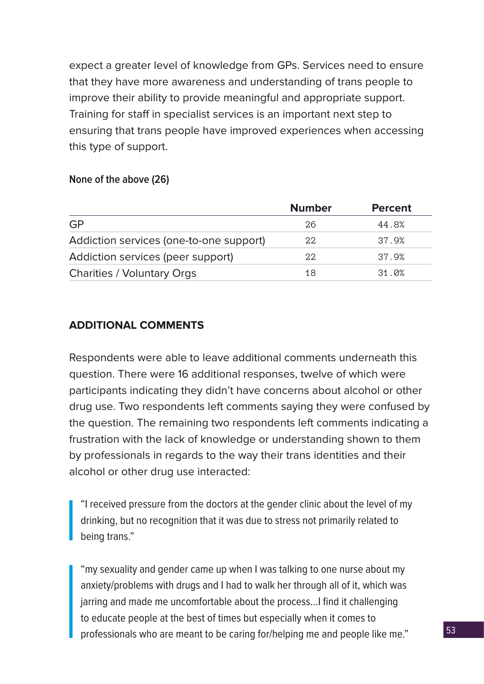expect a greater level of knowledge from GPs. Services need to ensure that they have more awareness and understanding of trans people to improve their ability to provide meaningful and appropriate support. Training for staff in specialist services is an important next step to ensuring that trans people have improved experiences when accessing this type of support.

#### **None of the above (26)**

|                                         | <b>Number</b> | <b>Percent</b> |
|-----------------------------------------|---------------|----------------|
| <b>GP</b>                               | 26            | 44.8%          |
| Addiction services (one-to-one support) | 22            | 37.9%          |
| Addiction services (peer support)       | 22            | 37.9%          |
| <b>Charities / Voluntary Orgs</b>       | 18            | 31.0%          |

#### **ADDITIONAL COMMENTS**

Respondents were able to leave additional comments underneath this question. There were 16 additional responses, twelve of which were participants indicating they didn't have concerns about alcohol or other drug use. Two respondents left comments saying they were confused by the question. The remaining two respondents left comments indicating a frustration with the lack of knowledge or understanding shown to them by professionals in regards to the way their trans identities and their alcohol or other drug use interacted:

"I received pressure from the doctors at the gender clinic about the level of my drinking, but no recognition that it was due to stress not primarily related to being trans."

"my sexuality and gender came up when I was talking to one nurse about my anxiety/problems with drugs and I had to walk her through all of it, which was jarring and made me uncomfortable about the process…I find it challenging to educate people at the best of times but especially when it comes to professionals who are meant to be caring for/helping me and people like me."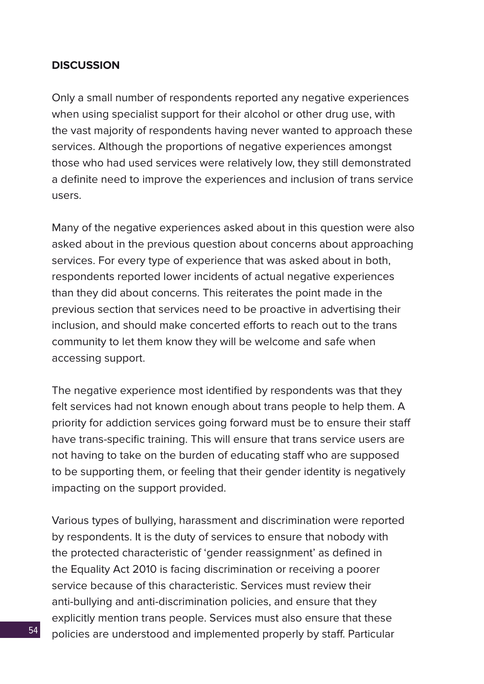## **DISCUSSION**

Only a small number of respondents reported any negative experiences when using specialist support for their alcohol or other drug use, with the vast majority of respondents having never wanted to approach these services. Although the proportions of negative experiences amongst those who had used services were relatively low, they still demonstrated a definite need to improve the experiences and inclusion of trans service users.

Many of the negative experiences asked about in this question were also asked about in the previous question about concerns about approaching services. For every type of experience that was asked about in both, respondents reported lower incidents of actual negative experiences than they did about concerns. This reiterates the point made in the previous section that services need to be proactive in advertising their inclusion, and should make concerted efforts to reach out to the trans community to let them know they will be welcome and safe when accessing support.

The negative experience most identified by respondents was that they felt services had not known enough about trans people to help them. A priority for addiction services going forward must be to ensure their staff have trans-specific training. This will ensure that trans service users are not having to take on the burden of educating staff who are supposed to be supporting them, or feeling that their gender identity is negatively impacting on the support provided.

Various types of bullying, harassment and discrimination were reported by respondents. It is the duty of services to ensure that nobody with the protected characteristic of 'gender reassignment' as defined in the Equality Act 2010 is facing discrimination or receiving a poorer service because of this characteristic. Services must review their anti-bullying and anti-discrimination policies, and ensure that they explicitly mention trans people. Services must also ensure that these policies are understood and implemented properly by staff. Particular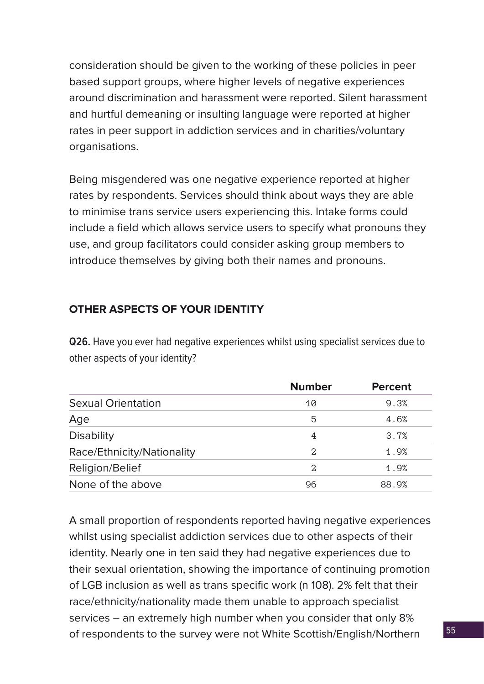consideration should be given to the working of these policies in peer based support groups, where higher levels of negative experiences around discrimination and harassment were reported. Silent harassment and hurtful demeaning or insulting language were reported at higher rates in peer support in addiction services and in charities/voluntary organisations.

Being misgendered was one negative experience reported at higher rates by respondents. Services should think about ways they are able to minimise trans service users experiencing this. Intake forms could include a field which allows service users to specify what pronouns they use, and group facilitators could consider asking group members to introduce themselves by giving both their names and pronouns.

## **OTHER ASPECTS OF YOUR IDENTITY**

**Q26.** Have you ever had negative experiences whilst using specialist services due to other aspects of your identity?

|                            | <b>Number</b> | <b>Percent</b> |
|----------------------------|---------------|----------------|
| <b>Sexual Orientation</b>  | 10            | 9.3%           |
| Age                        | 5             | 4.6%           |
| <b>Disability</b>          | 4             | 3.7%           |
| Race/Ethnicity/Nationality | 2             | 1.9%           |
| Religion/Belief            | 2             | 1.9%           |
| None of the above          | 96            | 88.9%          |

A small proportion of respondents reported having negative experiences whilst using specialist addiction services due to other aspects of their identity. Nearly one in ten said they had negative experiences due to their sexual orientation, showing the importance of continuing promotion of LGB inclusion as well as trans specific work (n 108). 2% felt that their race/ethnicity/nationality made them unable to approach specialist services – an extremely high number when you consider that only 8% of respondents to the survey were not White Scottish/English/Northern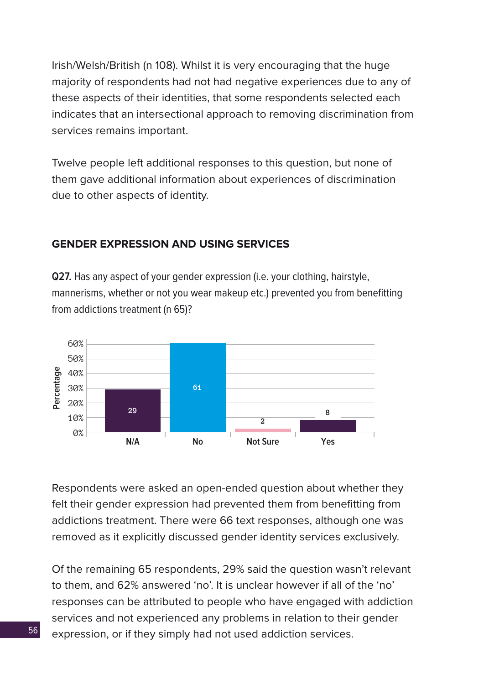Irish/Welsh/British (n 108). Whilst it is very encouraging that the huge majority of respondents had not had negative experiences due to any of these aspects of their identities, that some respondents selected each indicates that an intersectional approach to removing discrimination from services remains important.

Twelve people left additional responses to this question, but none of them gave additional information about experiences of discrimination due to other aspects of identity.

## **GENDER EXPRESSION AND USING SERVICES**

**Q27.** Has any aspect of your gender expression (i.e. your clothing, hairstyle, mannerisms, whether or not you wear makeup etc.) prevented you from benefitting from addictions treatment (n 65)?



Respondents were asked an open-ended question about whether they felt their gender expression had prevented them from benefitting from addictions treatment. There were 66 text responses, although one was removed as it explicitly discussed gender identity services exclusively.

Of the remaining 65 respondents, 29% said the question wasn't relevant to them, and 62% answered 'no'. It is unclear however if all of the 'no' responses can be attributed to people who have engaged with addiction services and not experienced any problems in relation to their gender expression, or if they simply had not used addiction services.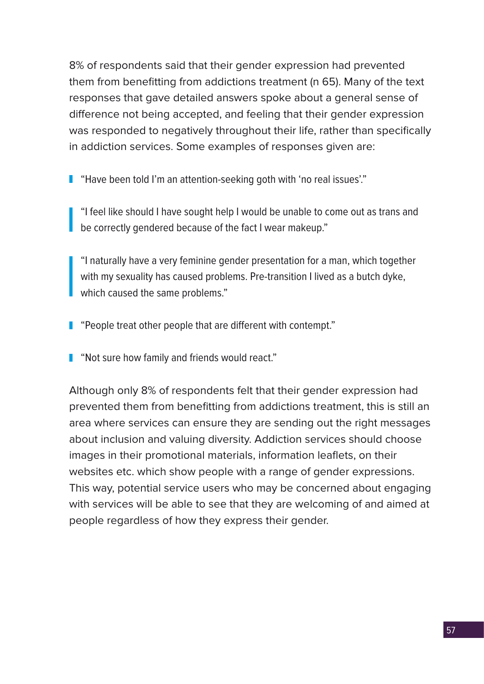8% of respondents said that their gender expression had prevented them from benefitting from addictions treatment (n 65). Many of the text responses that gave detailed answers spoke about a general sense of difference not being accepted, and feeling that their gender expression was responded to negatively throughout their life, rather than specifically in addiction services. Some examples of responses given are:

**I** "Have been told I'm an attention-seeking goth with 'no real issues'."

"I feel like should I have sought help I would be unable to come out as trans and be correctly gendered because of the fact I wear makeup."

"I naturally have a very feminine gender presentation for a man, which together with my sexuality has caused problems. Pre-transition I lived as a butch dyke, which caused the same problems."

**People treat other people that are different with contempt."** 

**Not sure how family and friends would react."** 

Although only 8% of respondents felt that their gender expression had prevented them from benefitting from addictions treatment, this is still an area where services can ensure they are sending out the right messages about inclusion and valuing diversity. Addiction services should choose images in their promotional materials, information leaflets, on their websites etc. which show people with a range of gender expressions. This way, potential service users who may be concerned about engaging with services will be able to see that they are welcoming of and aimed at people regardless of how they express their gender.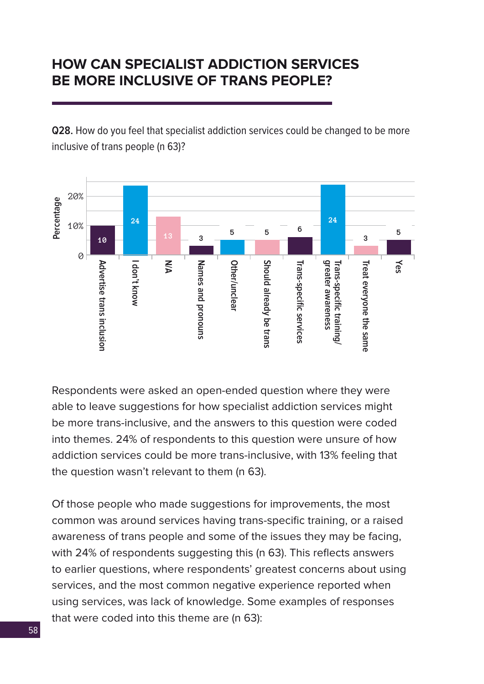## **HOW CAN SPECIALIST ADDICTION SERVICES BE MORE INCLUSIVE OF TRANS PEOPLE?**

**Q28.** How do you feel that specialist addiction services could be changed to be more inclusive of trans people (n 63)?



Respondents were asked an open-ended question where they were able to leave suggestions for how specialist addiction services might be more trans-inclusive, and the answers to this question were coded into themes. 24% of respondents to this question were unsure of how addiction services could be more trans-inclusive, with 13% feeling that the question wasn't relevant to them (n 63).

Of those people who made suggestions for improvements, the most common was around services having trans-specific training, or a raised awareness of trans people and some of the issues they may be facing, with 24% of respondents suggesting this (n 63). This reflects answers to earlier questions, where respondents' greatest concerns about using services, and the most common negative experience reported when using services, was lack of knowledge. Some examples of responses that were coded into this theme are (n 63):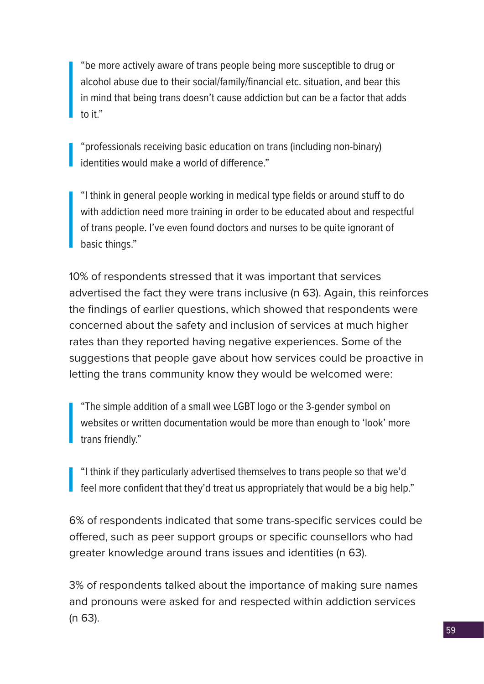"be more actively aware of trans people being more susceptible to drug or alcohol abuse due to their social/family/financial etc. situation, and bear this in mind that being trans doesn't cause addiction but can be a factor that adds to it."

"professionals receiving basic education on trans (including non-binary) identities would make a world of difference."

"I think in general people working in medical type fields or around stuff to do with addiction need more training in order to be educated about and respectful of trans people. I've even found doctors and nurses to be quite ignorant of basic things."

10% of respondents stressed that it was important that services advertised the fact they were trans inclusive (n 63). Again, this reinforces the findings of earlier questions, which showed that respondents were concerned about the safety and inclusion of services at much higher rates than they reported having negative experiences. Some of the suggestions that people gave about how services could be proactive in letting the trans community know they would be welcomed were:

"The simple addition of a small wee LGBT logo or the 3-gender symbol on websites or written documentation would be more than enough to 'look' more trans friendly."

"I think if they particularly advertised themselves to trans people so that we'd feel more confident that they'd treat us appropriately that would be a big help."

6% of respondents indicated that some trans-specific services could be offered, such as peer support groups or specific counsellors who had greater knowledge around trans issues and identities (n 63).

3% of respondents talked about the importance of making sure names and pronouns were asked for and respected within addiction services (n 63).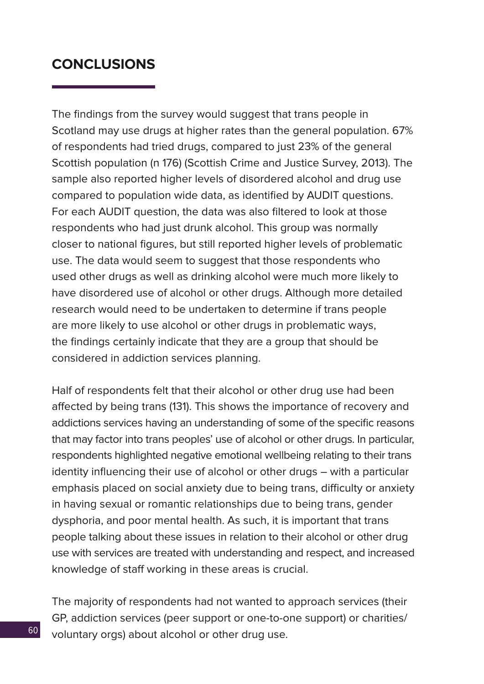## **CONCLUSIONS**

The findings from the survey would suggest that trans people in Scotland may use drugs at higher rates than the general population. 67% of respondents had tried drugs, compared to just 23% of the general Scottish population (n 176) (Scottish Crime and Justice Survey, 2013). The sample also reported higher levels of disordered alcohol and drug use compared to population wide data, as identified by AUDIT questions. For each AUDIT question, the data was also filtered to look at those respondents who had just drunk alcohol. This group was normally closer to national figures, but still reported higher levels of problematic use. The data would seem to suggest that those respondents who used other drugs as well as drinking alcohol were much more likely to have disordered use of alcohol or other drugs. Although more detailed research would need to be undertaken to determine if trans people are more likely to use alcohol or other drugs in problematic ways, the findings certainly indicate that they are a group that should be considered in addiction services planning.

Half of respondents felt that their alcohol or other drug use had been affected by being trans (131). This shows the importance of recovery and addictions services having an understanding of some of the specific reasons that may factor into trans peoples' use of alcohol or other drugs. In particular, respondents highlighted negative emotional wellbeing relating to their trans identity influencing their use of alcohol or other drugs – with a particular emphasis placed on social anxiety due to being trans, difficulty or anxiety in having sexual or romantic relationships due to being trans, gender dysphoria, and poor mental health. As such, it is important that trans people talking about these issues in relation to their alcohol or other drug use with services are treated with understanding and respect, and increased knowledge of staff working in these areas is crucial.

The majority of respondents had not wanted to approach services (their GP, addiction services (peer support or one-to-one support) or charities/ voluntary orgs) about alcohol or other drug use.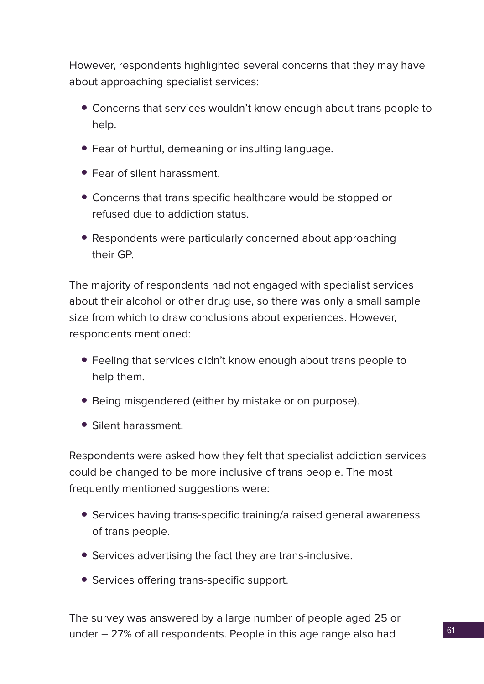However, respondents highlighted several concerns that they may have about approaching specialist services:

- Concerns that services wouldn't know enough about trans people to help.
- Fear of hurtful, demeaning or insulting language.
- Fear of silent harassment.
- Concerns that trans specific healthcare would be stopped or refused due to addiction status.
- Respondents were particularly concerned about approaching their GP.

The majority of respondents had not engaged with specialist services about their alcohol or other drug use, so there was only a small sample size from which to draw conclusions about experiences. However, respondents mentioned:

- Feeling that services didn't know enough about trans people to help them.
- Being misgendered (either by mistake or on purpose).
- Silent harassment.

Respondents were asked how they felt that specialist addiction services could be changed to be more inclusive of trans people. The most frequently mentioned suggestions were:

- Services having trans-specific training/a raised general awareness of trans people.
- Services advertising the fact they are trans-inclusive.
- Services offering trans-specific support.

The survey was answered by a large number of people aged 25 or under – 27% of all respondents. People in this age range also had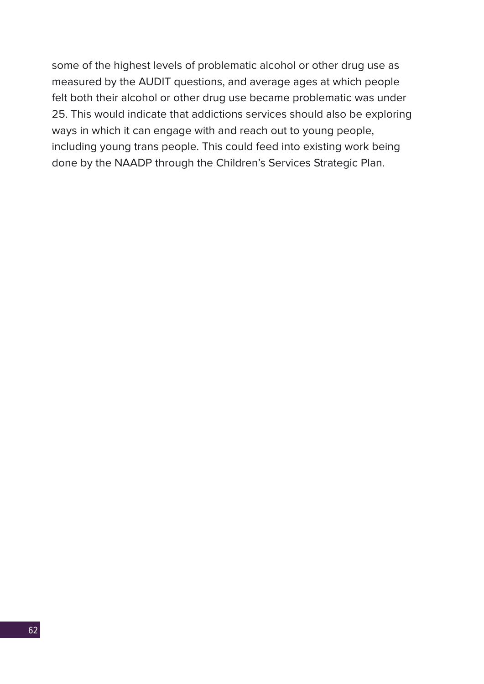some of the highest levels of problematic alcohol or other drug use as measured by the AUDIT questions, and average ages at which people felt both their alcohol or other drug use became problematic was under 25. This would indicate that addictions services should also be exploring ways in which it can engage with and reach out to young people, including young trans people. This could feed into existing work being done by the NAADP through the Children's Services Strategic Plan.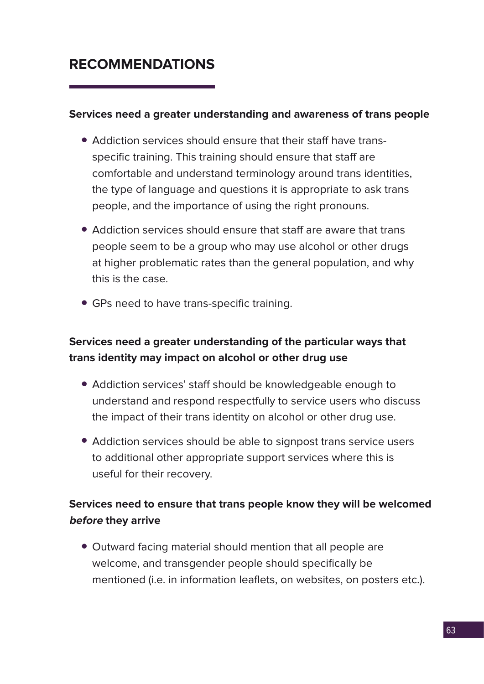## **RECOMMENDATIONS**

## **Services need a greater understanding and awareness of trans people**

- Addiction services should ensure that their staff have transspecific training. This training should ensure that staff are comfortable and understand terminology around trans identities, the type of language and questions it is appropriate to ask trans people, and the importance of using the right pronouns.
- Addiction services should ensure that staff are aware that trans people seem to be a group who may use alcohol or other drugs at higher problematic rates than the general population, and why this is the case.
- GPs need to have trans-specific training.

## **Services need a greater understanding of the particular ways that trans identity may impact on alcohol or other drug use**

- Addiction services' staff should be knowledgeable enough to understand and respond respectfully to service users who discuss the impact of their trans identity on alcohol or other drug use.
- Addiction services should be able to signpost trans service users to additional other appropriate support services where this is useful for their recovery.

## **Services need to ensure that trans people know they will be welcomed before they arrive**

• Outward facing material should mention that all people are welcome, and transgender people should specifically be mentioned (i.e. in information leaflets, on websites, on posters etc.).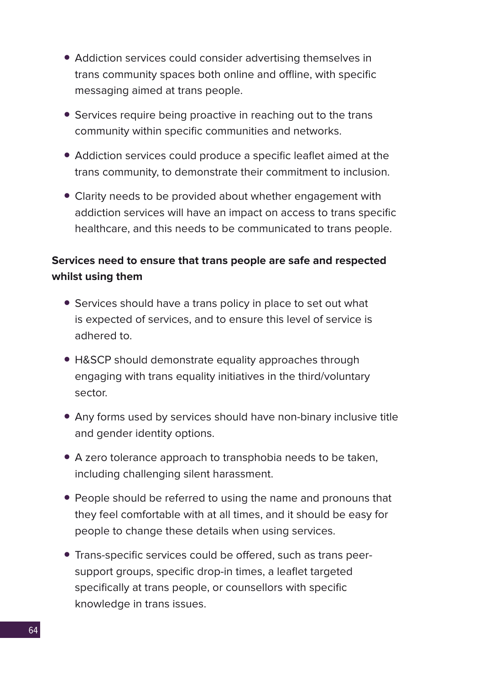- Addiction services could consider advertising themselves in trans community spaces both online and offline, with specific messaging aimed at trans people.
- Services require being proactive in reaching out to the trans community within specific communities and networks.
- Addiction services could produce a specific leaflet aimed at the trans community, to demonstrate their commitment to inclusion.
- Clarity needs to be provided about whether engagement with addiction services will have an impact on access to trans specific healthcare, and this needs to be communicated to trans people.

## **Services need to ensure that trans people are safe and respected whilst using them**

- Services should have a trans policy in place to set out what is expected of services, and to ensure this level of service is adhered to.
- H&SCP should demonstrate equality approaches through engaging with trans equality initiatives in the third/voluntary sector.
- Any forms used by services should have non-binary inclusive title and gender identity options.
- A zero tolerance approach to transphobia needs to be taken, including challenging silent harassment.
- People should be referred to using the name and pronouns that they feel comfortable with at all times, and it should be easy for people to change these details when using services.
- Trans-specific services could be offered, such as trans peersupport groups, specific drop-in times, a leaflet targeted specifically at trans people, or counsellors with specific knowledge in trans issues.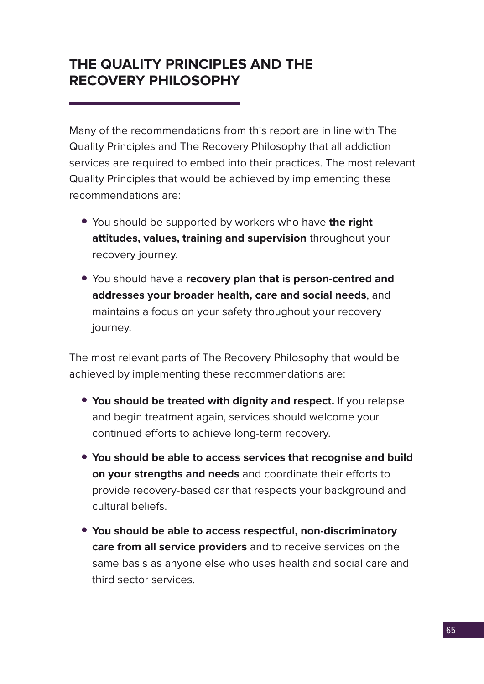## **THE QUALITY PRINCIPLES AND THE RECOVERY PHILOSOPHY**

Many of the recommendations from this report are in line with The Quality Principles and The Recovery Philosophy that all addiction services are required to embed into their practices. The most relevant Quality Principles that would be achieved by implementing these recommendations are:

- You should be supported by workers who have **the right attitudes, values, training and supervision** throughout your recovery journey.
- You should have a **recovery plan that is person-centred and addresses your broader health, care and social needs**, and maintains a focus on your safety throughout your recovery journey.

The most relevant parts of The Recovery Philosophy that would be achieved by implementing these recommendations are:

- **You should be treated with dignity and respect.** If you relapse and begin treatment again, services should welcome your continued efforts to achieve long-term recovery.
- **You should be able to access services that recognise and build on your strengths and needs** and coordinate their efforts to provide recovery-based car that respects your background and cultural beliefs.
- **You should be able to access respectful, non-discriminatory care from all service providers** and to receive services on the same basis as anyone else who uses health and social care and third sector services.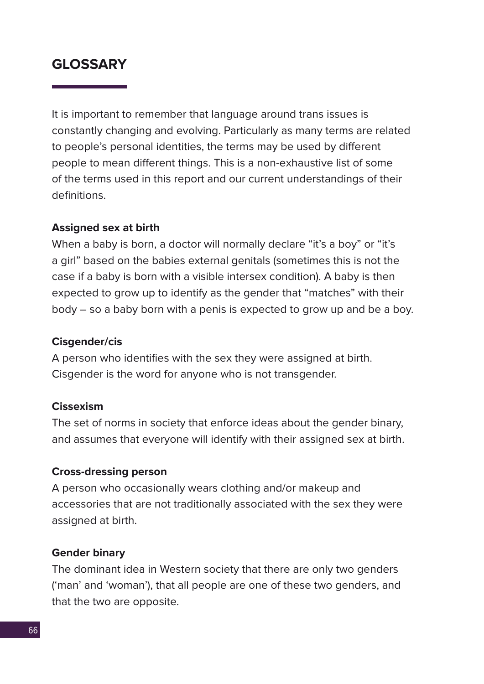## **GLOSSARY**

It is important to remember that language around trans issues is constantly changing and evolving. Particularly as many terms are related to people's personal identities, the terms may be used by different people to mean different things. This is a non-exhaustive list of some of the terms used in this report and our current understandings of their definitions.

## **Assigned sex at birth**

When a baby is born, a doctor will normally declare "it's a boy" or "it's a girl" based on the babies external genitals (sometimes this is not the case if a baby is born with a visible intersex condition). A baby is then expected to grow up to identify as the gender that "matches" with their body – so a baby born with a penis is expected to grow up and be a boy.

## **Cisgender/cis**

A person who identifies with the sex they were assigned at birth. Cisgender is the word for anyone who is not transgender.

#### **Cissexism**

The set of norms in society that enforce ideas about the gender binary, and assumes that everyone will identify with their assigned sex at birth.

#### **Cross-dressing person**

A person who occasionally wears clothing and/or makeup and accessories that are not traditionally associated with the sex they were assigned at birth.

#### **Gender binary**

The dominant idea in Western society that there are only two genders ('man' and 'woman'), that all people are one of these two genders, and that the two are opposite.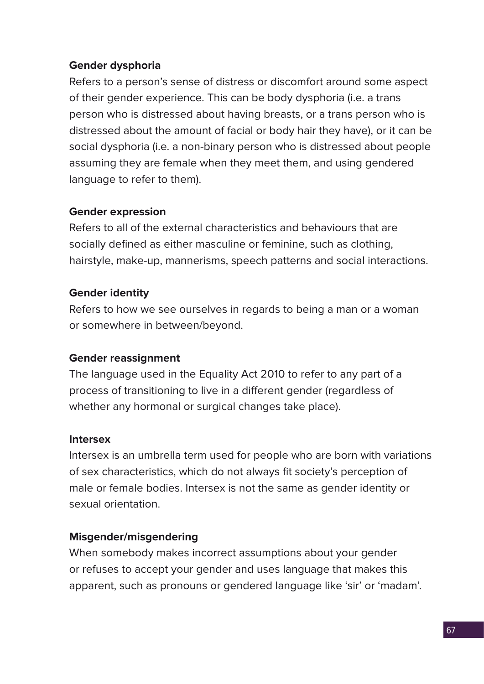## **Gender dysphoria**

Refers to a person's sense of distress or discomfort around some aspect of their gender experience. This can be body dysphoria (i.e. a trans person who is distressed about having breasts, or a trans person who is distressed about the amount of facial or body hair they have), or it can be social dysphoria (i.e. a non-binary person who is distressed about people assuming they are female when they meet them, and using gendered language to refer to them).

## **Gender expression**

Refers to all of the external characteristics and behaviours that are socially defined as either masculine or feminine, such as clothing, hairstyle, make-up, mannerisms, speech patterns and social interactions.

## **Gender identity**

Refers to how we see ourselves in regards to being a man or a woman or somewhere in between/beyond.

## **Gender reassignment**

The language used in the Equality Act 2010 to refer to any part of a process of transitioning to live in a different gender (regardless of whether any hormonal or surgical changes take place).

## **Intersex**

Intersex is an umbrella term used for people who are born with variations of sex characteristics, which do not always fit society's perception of male or female bodies. Intersex is not the same as gender identity or sexual orientation.

## **Misgender/misgendering**

When somebody makes incorrect assumptions about your gender or refuses to accept your gender and uses language that makes this apparent, such as pronouns or gendered language like 'sir' or 'madam'.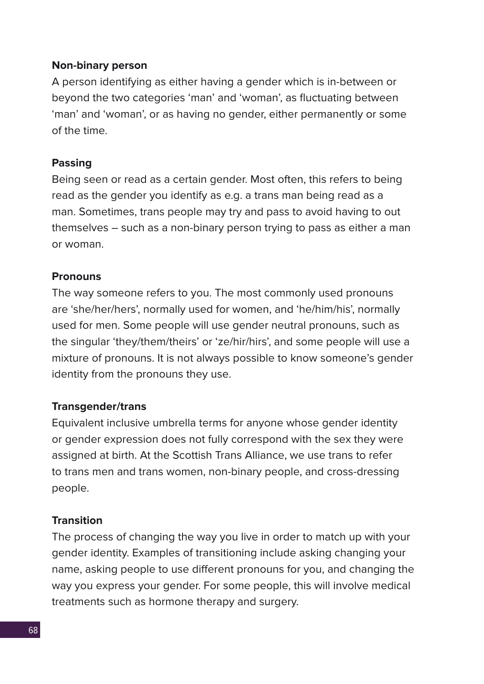#### **Non-binary person**

A person identifying as either having a gender which is in-between or beyond the two categories 'man' and 'woman', as fluctuating between 'man' and 'woman', or as having no gender, either permanently or some of the time.

#### **Passing**

Being seen or read as a certain gender. Most often, this refers to being read as the gender you identify as e.g. a trans man being read as a man. Sometimes, trans people may try and pass to avoid having to out themselves – such as a non-binary person trying to pass as either a man or woman.

## **Pronouns**

The way someone refers to you. The most commonly used pronouns are 'she/her/hers', normally used for women, and 'he/him/his', normally used for men. Some people will use gender neutral pronouns, such as the singular 'they/them/theirs' or 'ze/hir/hirs', and some people will use a mixture of pronouns. It is not always possible to know someone's gender identity from the pronouns they use.

## **Transgender/trans**

Equivalent inclusive umbrella terms for anyone whose gender identity or gender expression does not fully correspond with the sex they were assigned at birth. At the Scottish Trans Alliance, we use trans to refer to trans men and trans women, non-binary people, and cross-dressing people.

#### **Transition**

The process of changing the way you live in order to match up with your gender identity. Examples of transitioning include asking changing your name, asking people to use different pronouns for you, and changing the way you express your gender. For some people, this will involve medical treatments such as hormone therapy and surgery.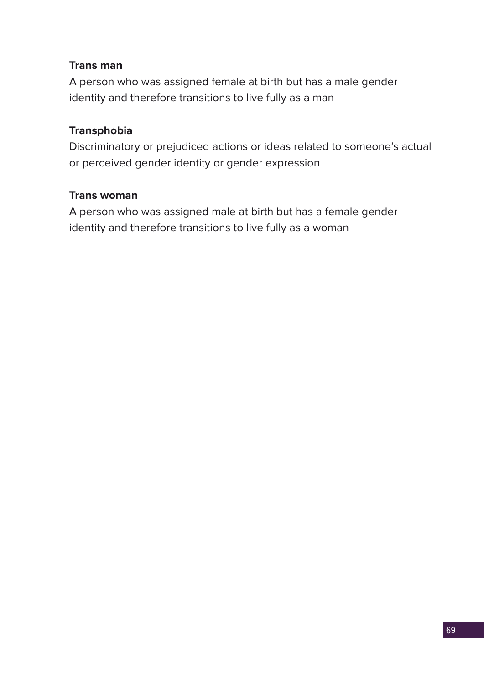## **Trans man**

A person who was assigned female at birth but has a male gender identity and therefore transitions to live fully as a man

## **Transphobia**

Discriminatory or prejudiced actions or ideas related to someone's actual or perceived gender identity or gender expression

## **Trans woman**

A person who was assigned male at birth but has a female gender identity and therefore transitions to live fully as a woman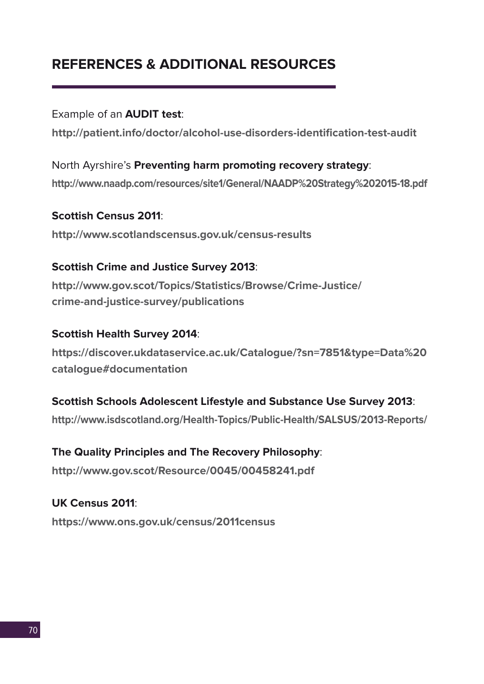## **REFERENCES & ADDITIONAL RESOURCES**

Example of an **AUDIT test**:

**http://patient.info/doctor/alcohol-use-disorders-identification-test-audit**

North Ayrshire's **Preventing harm promoting recovery strategy**: **http://www.naadp.com/resources/site1/General/NAADP%20Strategy%202015-18.pdf**

**Scottish Census 2011**: **http://www.scotlandscensus.gov.uk/census-results** 

## **Scottish Crime and Justice Survey 2013**:

**http://www.gov.scot/Topics/Statistics/Browse/Crime-Justice/ crime-and-justice-survey/publications** 

## **Scottish Health Survey 2014**:

**https://discover.ukdataservice.ac.uk/Catalogue/?sn=7851&type=Data%20 catalogue#documentation**

## **Scottish Schools Adolescent Lifestyle and Substance Use Survey 2013**:

**http://www.isdscotland.org/Health-Topics/Public-Health/SALSUS/2013-Reports/** 

## **The Quality Principles and The Recovery Philosophy**:

**http://www.gov.scot/Resource/0045/00458241.pdf** 

**UK Census 2011**: **https://www.ons.gov.uk/census/2011census**